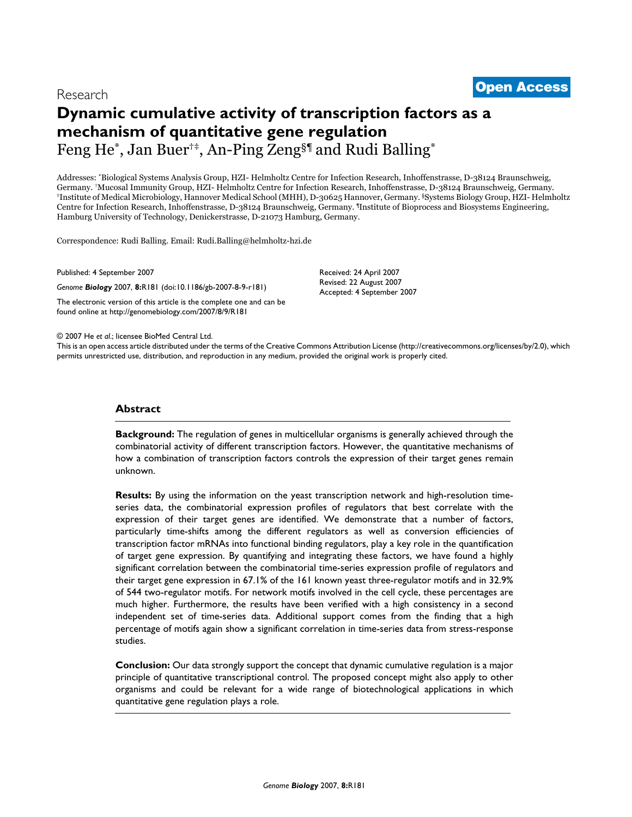# <sup>2007</sup> He et al. Volume 8, Issue 9, Article R181 **[Open Access](http://www.biomedcentral.com/info/about/charter/)** Research

## **Dynamic cumulative activity of transcription factors as a mechanism of quantitative gene regulation** Feng He\*, Jan Buer†‡, An-Ping Zeng§¶ and Rudi Balling\*

Addresses: \*Biological Systems Analysis Group, HZI- Helmholtz Centre for Infection Research, Inhoffenstrasse, D-38124 Braunschweig, Germany. \*Mucosal Immunity Group, HZI- Helmholtz Centre for Infection Research, Inhoffenst \*Institute of Medical Microbiology, Hannover Medical School (MHH), D-30625 Hannover, Germany. \$Systems Biology Group, HZI-Helmholtz Centre for Infection Research, Inhoffenstrasse, D-38124 Braunschweig, Germany. ¶Institute of Bioprocess and Biosystems Engineering, Hamburg University of Technology, Denickerstrasse, D-21073 Hamburg, Germany.

Correspondence: Rudi Balling. Email: Rudi.Balling@helmholtz-hzi.de

Published: 4 September 2007

*Genome Biology* 2007, **8:**R181 (doi:10.1186/gb-2007-8-9-r181)

[The electronic version of this article is the complete one and can be](http://genomebiology.com/2007/8/9/R181)  found online at http://genomebiology.com/2007/8/9/R181

Received: 24 April 2007 Revised: 22 August 2007 Accepted: 4 September 2007

© 2007 He *et al*.; licensee BioMed Central Ltd.

[This is an open access article distributed under the terms of the Creative Commons Attribution License \(http://creativecommons.org/licenses/by/2.0\), which](http://creativecommons.org/licenses/by/2.0)  permits unrestricted use, distribution, and reproduction in any medium, provided the original work is properly cited.

## **Abstract**

**Background:** The regulation of genes in multicellular organisms is generally achieved through the combinatorial activity of different transcription factors. However, the quantitative mechanisms of how a combination of transcription factors controls the expression of their target genes remain unknown.

**Results:** By using the information on the yeast transcription network and high-resolution timeseries data, the combinatorial expression profiles of regulators that best correlate with the expression of their target genes are identified. We demonstrate that a number of factors, particularly time-shifts among the different regulators as well as conversion efficiencies of transcription factor mRNAs into functional binding regulators, play a key role in the quantification of target gene expression. By quantifying and integrating these factors, we have found a highly significant correlation between the combinatorial time-series expression profile of regulators and their target gene expression in 67.1% of the 161 known yeast three-regulator motifs and in 32.9% of 544 two-regulator motifs. For network motifs involved in the cell cycle, these percentages are much higher. Furthermore, the results have been verified with a high consistency in a second independent set of time-series data. Additional support comes from the finding that a high percentage of motifs again show a significant correlation in time-series data from stress-response studies.

**Conclusion:** Our data strongly support the concept that dynamic cumulative regulation is a major principle of quantitative transcriptional control. The proposed concept might also apply to other organisms and could be relevant for a wide range of biotechnological applications in which quantitative gene regulation plays a role.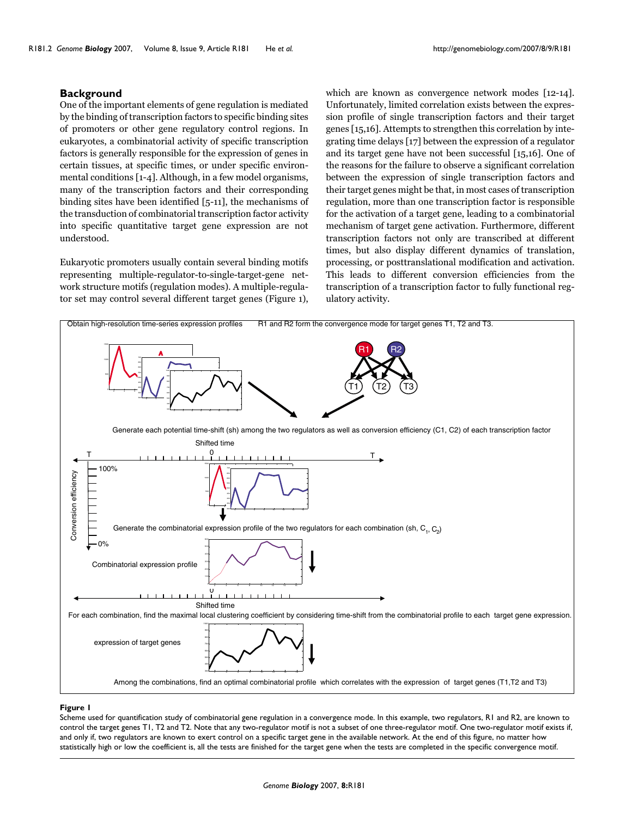#### **Background**

One of the important elements of gene regulation is mediated by the binding of transcription factors to specific binding sites of promoters or other gene regulatory control regions. In eukaryotes, a combinatorial activity of specific transcription factors is generally responsible for the expression of genes in certain tissues, at specific times, or under specific environmental conditions [1-4]. Although, in a few model organisms, many of the transcription factors and their corresponding binding sites have been identified [5-11], the mechanisms of the transduction of combinatorial transcription factor activity into specific quantitative target gene expression are not understood.

Eukaryotic promoters usually contain several binding motifs representing multiple-regulator-to-single-target-gene network structure motifs (regulation modes). A multiple-regulator set may control several different target genes (Figure 1), which are known as convergence network modes [12-14]. Unfortunately, limited correlation exists between the expression profile of single transcription factors and their target genes [15,16]. Attempts to strengthen this correlation by integrating time delays [17] between the expression of a regulator and its target gene have not been successful [15,16]. One of the reasons for the failure to observe a significant correlation between the expression of single transcription factors and their target genes might be that, in most cases of transcription regulation, more than one transcription factor is responsible for the activation of a target gene, leading to a combinatorial mechanism of target gene activation. Furthermore, different transcription factors not only are transcribed at different times, but also display different dynamics of translation, processing, or posttranslational modification and activation. This leads to different conversion efficiencies from the transcription of a transcription factor to fully functional regulatory activity.



#### Scheme used for quantification study of combin **Figure 1** atorial gene regulation in a convergence mode

Scheme used for quantification study of combinatorial gene regulation in a convergence mode. In this example, two regulators, R1 and R2, are known to control the target genes T1, T2 and T2. Note that any two-regulator motif is not a subset of one three-regulator motif. One two-regulator motif exists if, and only if, two regulators are known to exert control on a specific target gene in the available network. At the end of this figure, no matter how statistically high or low the coefficient is, all the tests are finished for the target gene when the tests are completed in the specific convergence motif.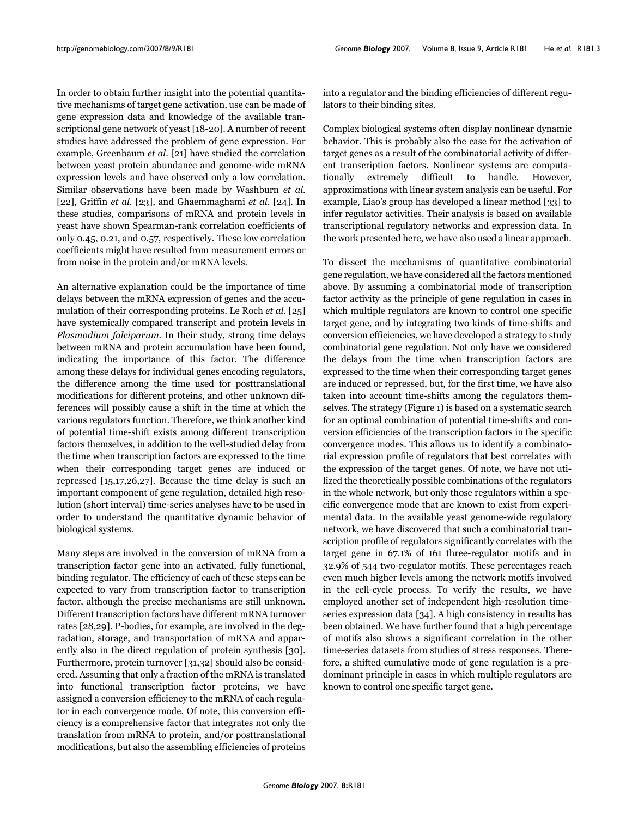In order to obtain further insight into the potential quantitative mechanisms of target gene activation, use can be made of gene expression data and knowledge of the available transcriptional gene network of yeast [18-20]. A number of recent studies have addressed the problem of gene expression. For example, Greenbaum *et al*. [21] have studied the correlation between yeast protein abundance and genome-wide mRNA expression levels and have observed only a low correlation. Similar observations have been made by Washburn *et al*. [22], Griffin *et al*. [23], and Ghaemmaghami *et al*. [24]. In these studies, comparisons of mRNA and protein levels in yeast have shown Spearman-rank correlation coefficients of only 0.45, 0.21, and 0.57, respectively. These low correlation coefficients might have resulted from measurement errors or from noise in the protein and/or mRNA levels.

An alternative explanation could be the importance of time delays between the mRNA expression of genes and the accumulation of their corresponding proteins. Le Roch *et al*. [25] have systemically compared transcript and protein levels in *Plasmodium falciparum*. In their study, strong time delays between mRNA and protein accumulation have been found, indicating the importance of this factor. The difference among these delays for individual genes encoding regulators, the difference among the time used for posttranslational modifications for different proteins, and other unknown differences will possibly cause a shift in the time at which the various regulators function. Therefore, we think another kind of potential time-shift exists among different transcription factors themselves, in addition to the well-studied delay from the time when transcription factors are expressed to the time when their corresponding target genes are induced or repressed [15,17,26,27]. Because the time delay is such an important component of gene regulation, detailed high resolution (short interval) time-series analyses have to be used in order to understand the quantitative dynamic behavior of biological systems.

Many steps are involved in the conversion of mRNA from a transcription factor gene into an activated, fully functional, binding regulator. The efficiency of each of these steps can be expected to vary from transcription factor to transcription factor, although the precise mechanisms are still unknown. Different transcription factors have different mRNA turnover rates [28,29]. P-bodies, for example, are involved in the degradation, storage, and transportation of mRNA and apparently also in the direct regulation of protein synthesis [30]. Furthermore, protein turnover [31,32] should also be considered. Assuming that only a fraction of the mRNA is translated into functional transcription factor proteins, we have assigned a conversion efficiency to the mRNA of each regulator in each convergence mode. Of note, this conversion efficiency is a comprehensive factor that integrates not only the translation from mRNA to protein, and/or posttranslational modifications, but also the assembling efficiencies of proteins

into a regulator and the binding efficiencies of different regulators to their binding sites.

Complex biological systems often display nonlinear dynamic behavior. This is probably also the case for the activation of target genes as a result of the combinatorial activity of different transcription factors. Nonlinear systems are computationally extremely difficult to handle. However, approximations with linear system analysis can be useful. For example, Liao's group has developed a linear method [33] to infer regulator activities. Their analysis is based on available transcriptional regulatory networks and expression data. In the work presented here, we have also used a linear approach.

To dissect the mechanisms of quantitative combinatorial gene regulation, we have considered all the factors mentioned above. By assuming a combinatorial mode of transcription factor activity as the principle of gene regulation in cases in which multiple regulators are known to control one specific target gene, and by integrating two kinds of time-shifts and conversion efficiencies, we have developed a strategy to study combinatorial gene regulation. Not only have we considered the delays from the time when transcription factors are expressed to the time when their corresponding target genes are induced or repressed, but, for the first time, we have also taken into account time-shifts among the regulators themselves. The strategy (Figure 1) is based on a systematic search for an optimal combination of potential time-shifts and conversion efficiencies of the transcription factors in the specific convergence modes. This allows us to identify a combinatorial expression profile of regulators that best correlates with the expression of the target genes. Of note, we have not utilized the theoretically possible combinations of the regulators in the whole network, but only those regulators within a specific convergence mode that are known to exist from experimental data. In the available yeast genome-wide regulatory network, we have discovered that such a combinatorial transcription profile of regulators significantly correlates with the target gene in 67.1% of 161 three-regulator motifs and in 32.9% of 544 two-regulator motifs. These percentages reach even much higher levels among the network motifs involved in the cell-cycle process. To verify the results, we have employed another set of independent high-resolution timeseries expression data [34]. A high consistency in results has been obtained. We have further found that a high percentage of motifs also shows a significant correlation in the other time-series datasets from studies of stress responses. Therefore, a shifted cumulative mode of gene regulation is a predominant principle in cases in which multiple regulators are known to control one specific target gene.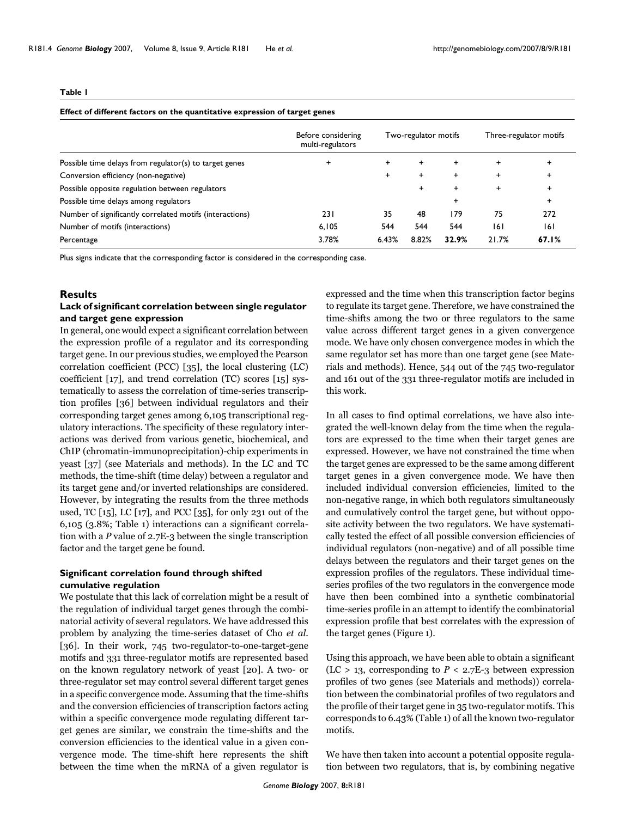#### <span id="page-3-0"></span>**Table 1**

#### **Effect of different factors on the quantitative expression of target genes**

|                                                          | Before considering<br>multi-regulators | Two-regulator motifs |           |           | Three-regulator motifs |           |
|----------------------------------------------------------|----------------------------------------|----------------------|-----------|-----------|------------------------|-----------|
| Possible time delays from regulator(s) to target genes   | ÷                                      | +                    | $\ddot{}$ | $\ddot{}$ | $\pm$                  | ÷         |
| Conversion efficiency (non-negative)                     |                                        | $\ddot{}$            | +         | $\ddot{}$ | $\ddot{}$              |           |
| Possible opposite regulation between regulators          |                                        |                      | $\ddot{}$ | $\ddot{}$ | ÷                      |           |
| Possible time delays among regulators                    |                                        |                      |           | $\ddot{}$ |                        | $\ddot{}$ |
| Number of significantly correlated motifs (interactions) | 231                                    | 35                   | 48        | 179       | 75                     | 272       |
| Number of motifs (interactions)                          | 6.105                                  | 544                  | 544       | 544       | 161                    | 6         |
| Percentage                                               | 3.78%                                  | 6.43%                | 8.82%     | 32.9%     | 21.7%                  | 67.1%     |

Plus signs indicate that the corresponding factor is considered in the corresponding case.

## **Results**

## **Lack of significant correlation between single regulator and target gene expression**

In general, one would expect a significant correlation between the expression profile of a regulator and its corresponding target gene. In our previous studies, we employed the Pearson correlation coefficient (PCC) [35], the local clustering (LC) coefficient [17], and trend correlation (TC) scores [15] systematically to assess the correlation of time-series transcription profiles [36] between individual regulators and their corresponding target genes among 6,105 transcriptional regulatory interactions. The specificity of these regulatory interactions was derived from various genetic, biochemical, and ChIP (chromatin-immunoprecipitation)-chip experiments in yeast [37] (see Materials and methods). In the LC and TC methods, the time-shift (time delay) between a regulator and its target gene and/or inverted relationships are considered. However, by integrating the results from the three methods used, TC [15], LC [17], and PCC [35], for only 231 out of the 6,105 (3.8%; Table [1](#page-3-0)) interactions can a significant correlation with a *P* value of 2.7E-3 between the single transcription factor and the target gene be found.

#### **Significant correlation found through shifted cumulative regulation**

We postulate that this lack of correlation might be a result of the regulation of individual target genes through the combinatorial activity of several regulators. We have addressed this problem by analyzing the time-series dataset of Cho *et al*. [36]. In their work, 745 two-regulator-to-one-target-gene motifs and 331 three-regulator motifs are represented based on the known regulatory network of yeast [20]. A two- or three-regulator set may control several different target genes in a specific convergence mode. Assuming that the time-shifts and the conversion efficiencies of transcription factors acting within a specific convergence mode regulating different target genes are similar, we constrain the time-shifts and the conversion efficiencies to the identical value in a given convergence mode. The time-shift here represents the shift between the time when the mRNA of a given regulator is expressed and the time when this transcription factor begins to regulate its target gene. Therefore, we have constrained the time-shifts among the two or three regulators to the same value across different target genes in a given convergence mode. We have only chosen convergence modes in which the same regulator set has more than one target gene (see Materials and methods). Hence, 544 out of the 745 two-regulator and 161 out of the 331 three-regulator motifs are included in this work.

In all cases to find optimal correlations, we have also integrated the well-known delay from the time when the regulators are expressed to the time when their target genes are expressed. However, we have not constrained the time when the target genes are expressed to be the same among different target genes in a given convergence mode. We have then included individual conversion efficiencies, limited to the non-negative range, in which both regulators simultaneously and cumulatively control the target gene, but without opposite activity between the two regulators. We have systematically tested the effect of all possible conversion efficiencies of individual regulators (non-negative) and of all possible time delays between the regulators and their target genes on the expression profiles of the regulators. These individual timeseries profiles of the two regulators in the convergence mode have then been combined into a synthetic combinatorial time-series profile in an attempt to identify the combinatorial expression profile that best correlates with the expression of the target genes (Figure 1).

Using this approach, we have been able to obtain a significant  $(LC > 13,$  corresponding to  $P < 2.7E-3$  between expression profiles of two genes (see Materials and methods)) correlation between the combinatorial profiles of two regulators and the profile of their target gene in 35 two-regulator motifs. This corresponds to 6.43% (Table [1\)](#page-3-0) of all the known two-regulator motifs.

We have then taken into account a potential opposite regulation between two regulators, that is, by combining negative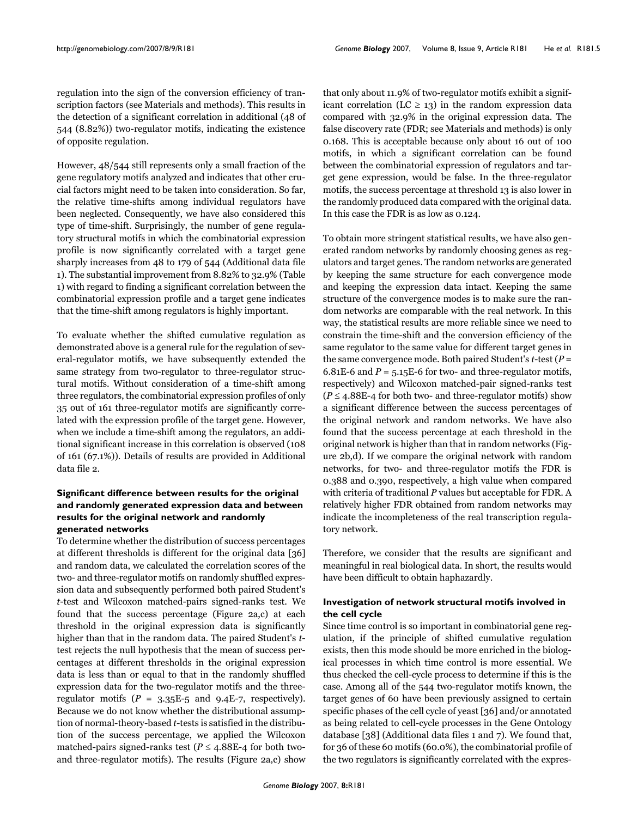regulation into the sign of the conversion efficiency of transcription factors (see Materials and methods). This results in the detection of a significant correlation in additional (48 of 544 (8.82%)) two-regulator motifs, indicating the existence of opposite regulation.

However, 48/544 still represents only a small fraction of the gene regulatory motifs analyzed and indicates that other crucial factors might need to be taken into consideration. So far, the relative time-shifts among individual regulators have been neglected. Consequently, we have also considered this type of time-shift. Surprisingly, the number of gene regulatory structural motifs in which the combinatorial expression profile is now significantly correlated with a target gene sharply increases from 48 to 179 of 544 (Additional data file 1). The substantial improvement from 8.82% to 32.9% (Table [1](#page-3-0)) with regard to finding a significant correlation between the combinatorial expression profile and a target gene indicates that the time-shift among regulators is highly important.

To evaluate whether the shifted cumulative regulation as demonstrated above is a general rule for the regulation of several-regulator motifs, we have subsequently extended the same strategy from two-regulator to three-regulator structural motifs. Without consideration of a time-shift among three regulators, the combinatorial expression profiles of only 35 out of 161 three-regulator motifs are significantly correlated with the expression profile of the target gene. However, when we include a time-shift among the regulators, an additional significant increase in this correlation is observed (108 of 161 (67.1%)). Details of results are provided in Additional data file 2.

## **Significant difference between results for the original and randomly generated expression data and between results for the original network and randomly generated networks**

To determine whether the distribution of success percentages at different thresholds is different for the original data [36] and random data, we calculated the correlation scores of the two- and three-regulator motifs on randomly shuffled expression data and subsequently performed both paired Student's *t*-test and Wilcoxon matched-pairs signed-ranks test. We found that the success percentage (Figure [2](#page-5-0)a,c) at each threshold in the original expression data is significantly higher than that in the random data. The paired Student's *t*test rejects the null hypothesis that the mean of success percentages at different thresholds in the original expression data is less than or equal to that in the randomly shuffled expression data for the two-regulator motifs and the threeregulator motifs  $(P = 3.35E-5$  and 9.4E-7, respectively). Because we do not know whether the distributional assumption of normal-theory-based *t*-tests is satisfied in the distribution of the success percentage, we applied the Wilcoxon matched-pairs signed-ranks test ( $P \leq 4.88E-4$  for both twoand three-regulator motifs). The results (Figure [2a](#page-5-0),c) show that only about 11.9% of two-regulator motifs exhibit a significant correlation (LC  $\geq$  13) in the random expression data compared with 32.9% in the original expression data. The false discovery rate (FDR; see Materials and methods) is only 0.168. This is acceptable because only about 16 out of 100 motifs, in which a significant correlation can be found between the combinatorial expression of regulators and target gene expression, would be false. In the three-regulator motifs, the success percentage at threshold 13 is also lower in the randomly produced data compared with the original data. In this case the FDR is as low as 0.124.

To obtain more stringent statistical results, we have also generated random networks by randomly choosing genes as regulators and target genes. The random networks are generated by keeping the same structure for each convergence mode and keeping the expression data intact. Keeping the same structure of the convergence modes is to make sure the random networks are comparable with the real network. In this way, the statistical results are more reliable since we need to constrain the time-shift and the conversion efficiency of the same regulator to the same value for different target genes in the same convergence mode. Both paired Student's *t*-test (*P* = 6.81E-6 and  $P = 5.15E-6$  for two- and three-regulator motifs, respectively) and Wilcoxon matched-pair signed-ranks test (*P* ≤ 4.88E-4 for both two- and three-regulator motifs) show a significant difference between the success percentages of the original network and random networks. We have also found that the success percentage at each threshold in the original network is higher than that in random networks (Figure [2](#page-5-0)b,d). If we compare the original network with random networks, for two- and three-regulator motifs the FDR is 0.388 and 0.390, respectively, a high value when compared with criteria of traditional *P* values but acceptable for FDR. A relatively higher FDR obtained from random networks may indicate the incompleteness of the real transcription regulatory network.

Therefore, we consider that the results are significant and meaningful in real biological data. In short, the results would have been difficult to obtain haphazardly.

## **Investigation of network structural motifs involved in the cell cycle**

Since time control is so important in combinatorial gene regulation, if the principle of shifted cumulative regulation exists, then this mode should be more enriched in the biological processes in which time control is more essential. We thus checked the cell-cycle process to determine if this is the case. Among all of the 544 two-regulator motifs known, the target genes of 60 have been previously assigned to certain specific phases of the cell cycle of yeast [36] and/or annotated as being related to cell-cycle processes in the Gene Ontology database [38] (Additional data files 1 and 7). We found that, for 36 of these 60 motifs (60.0%), the combinatorial profile of the two regulators is significantly correlated with the expres-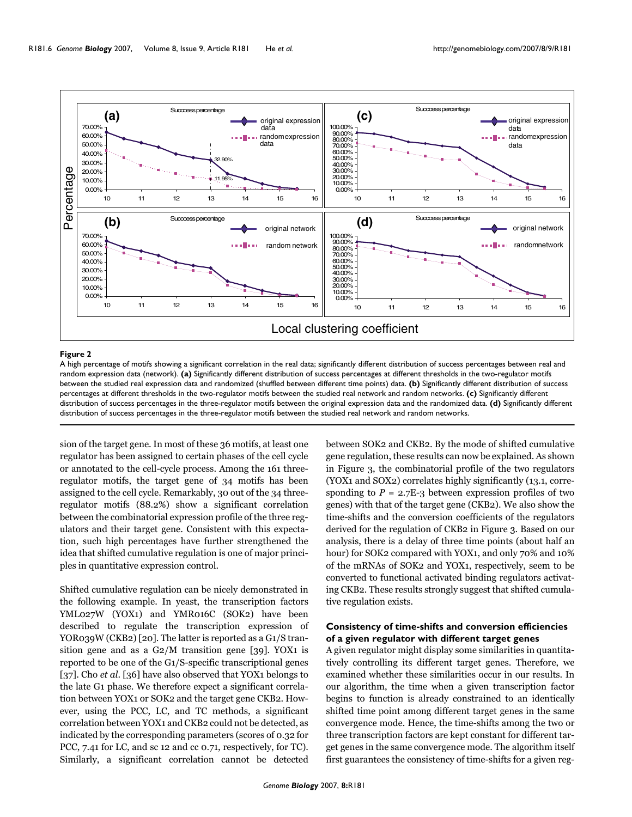<span id="page-5-0"></span>

#### A high percentage of motifs showing a sign random expression data (network) **Figure 2** ificant correlation in the real data; significantly different distribution of success percentages between real and

A high percentage of motifs showing a significant correlation in the real data; significantly different distribution of success percentages between real and random expression data (network). **(a)** Significantly different distribution of success percentages at different thresholds in the two-regulator motifs between the studied real expression data and randomized (shuffled between different time points) data. **(b)** Significantly different distribution of success percentages at different thresholds in the two-regulator motifs between the studied real network and random networks. **(c)** Significantly different distribution of success percentages in the three-regulator motifs between the original expression data and the randomized data. **(d)** Significantly different distribution of success percentages in the three-regulator motifs between the studied real network and random networks.

sion of the target gene. In most of these 36 motifs, at least one regulator has been assigned to certain phases of the cell cycle or annotated to the cell-cycle process. Among the 161 threeregulator motifs, the target gene of 34 motifs has been assigned to the cell cycle. Remarkably, 30 out of the 34 threeregulator motifs (88.2%) show a significant correlation between the combinatorial expression profile of the three regulators and their target gene. Consistent with this expectation, such high percentages have further strengthened the idea that shifted cumulative regulation is one of major principles in quantitative expression control.

Shifted cumulative regulation can be nicely demonstrated in the following example. In yeast, the transcription factors YML027W (YOX1) and YMR016C (SOK2) have been described to regulate the transcription expression of YOR039W (CKB2) [20]. The latter is reported as a G1/S transition gene and as a G2/M transition gene [[39\]](#page-17-0). YOX1 is reported to be one of the G1/S-specific transcriptional genes [37]. Cho *et al*. [36] have also observed that YOX1 belongs to the late G1 phase. We therefore expect a significant correlation between YOX1 or SOK2 and the target gene CKB2. However, using the PCC, LC, and TC methods, a significant correlation between YOX1 and CKB2 could not be detected, as indicated by the corresponding parameters (scores of 0.32 for PCC, 7.41 for LC, and sc 12 and cc 0.71, respectively, for TC). Similarly, a significant correlation cannot be detected

between SOK2 and CKB2. By the mode of shifted cumulative gene regulation, these results can now be explained. As shown in Figure 3, the combinatorial profile of the two regulators (YOX1 and SOX2) correlates highly significantly (13.1, corresponding to  $P = 2.7E-3$  between expression profiles of two genes) with that of the target gene (CKB2). We also show the time-shifts and the conversion coefficients of the regulators derived for the regulation of CKB2 in Figure 3. Based on our analysis, there is a delay of three time points (about half an hour) for SOK2 compared with YOX1, and only 70% and 10% of the mRNAs of SOK2 and YOX1, respectively, seem to be converted to functional activated binding regulators activating CKB2. These results strongly suggest that shifted cumulative regulation exists.

## **Consistency of time-shifts and conversion efficiencies of a given regulator with different target genes**

A given regulator might display some similarities in quantitatively controlling its different target genes. Therefore, we examined whether these similarities occur in our results. In our algorithm, the time when a given transcription factor begins to function is already constrained to an identically shifted time point among different target genes in the same convergence mode. Hence, the time-shifts among the two or three transcription factors are kept constant for different target genes in the same convergence mode. The algorithm itself first guarantees the consistency of time-shifts for a given reg-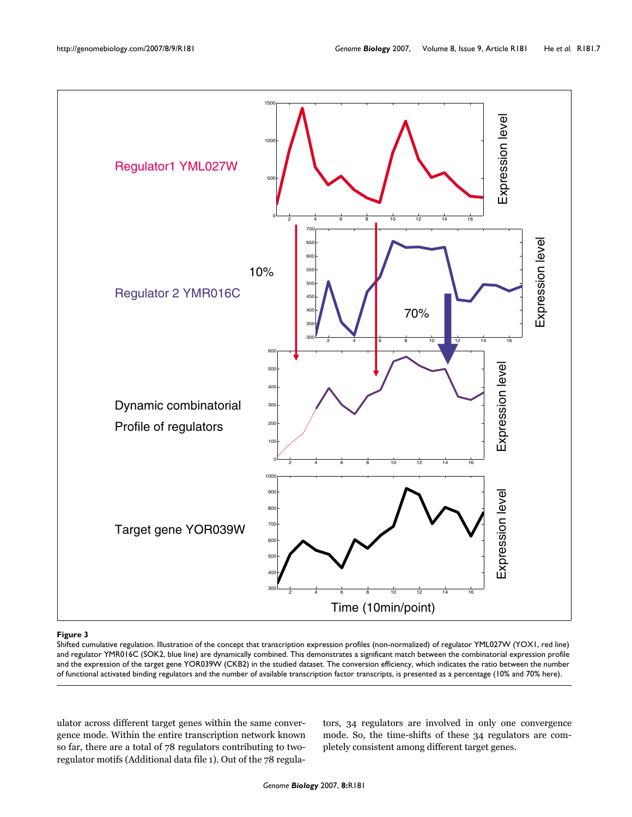

#### **Figure 3**

Shifted cumulative regulation. Illustration of the concept that transcription expression profiles (non-normalized) of regulator YML027W (YOX1, red line) and regulator YMR016C (SOK2, blue line) are dynamically combined. This demonstrates a significant match between the combinatorial expression profile and the expression of the target gene YOR039W (CKB2) in the studied dataset. The conversion efficiency, which indicates the ratio between the number of functional activated binding regulators and the number of available transcription factor transcripts, is presented as a percentage (10% and 70% here).

ulator across different target genes within the same convergence mode. Within the entire transcription network known so far, there are a total of 78 regulators contributing to tworegulator motifs (Additional data file 1). Out of the 78 regulators, 34 regulators are involved in only one convergence mode. So, the time-shifts of these 34 regulators are completely consistent among different target genes.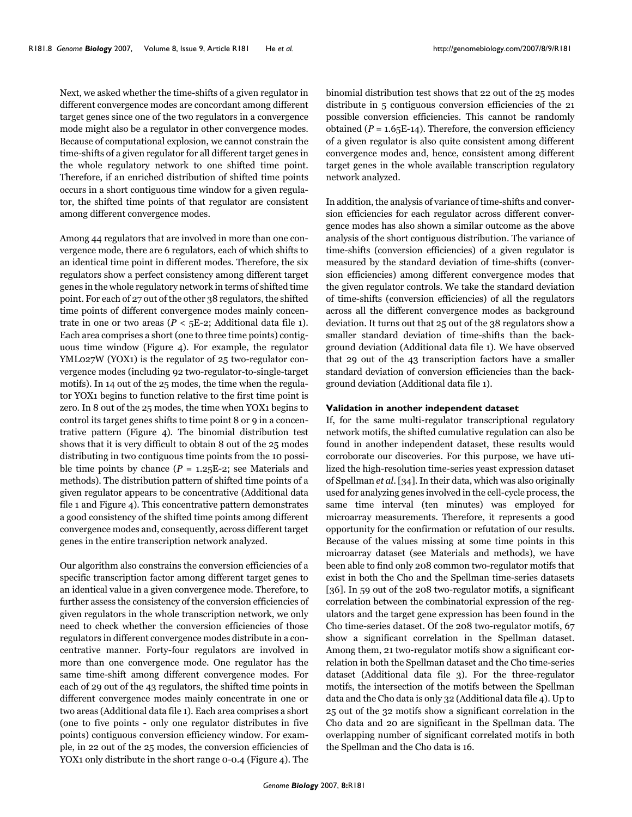Next, we asked whether the time-shifts of a given regulator in different convergence modes are concordant among different target genes since one of the two regulators in a convergence mode might also be a regulator in other convergence modes. Because of computational explosion, we cannot constrain the time-shifts of a given regulator for all different target genes in the whole regulatory network to one shifted time point. Therefore, if an enriched distribution of shifted time points occurs in a short contiguous time window for a given regulator, the shifted time points of that regulator are consistent among different convergence modes.

Among 44 regulators that are involved in more than one convergence mode, there are 6 regulators, each of which shifts to an identical time point in different modes. Therefore, the six regulators show a perfect consistency among different target genes in the whole regulatory network in terms of shifted time point. For each of 27 out of the other 38 regulators, the shifted time points of different convergence modes mainly concentrate in one or two areas ( $P < 5E-2$ ; Additional data file 1). Each area comprises a short (one to three time points) contiguous time window (Figure [4](#page-8-0)). For example, the regulator YML027W (YOX1) is the regulator of 25 two-regulator convergence modes (including 92 two-regulator-to-single-target motifs). In 14 out of the 25 modes, the time when the regulator YOX1 begins to function relative to the first time point is zero. In 8 out of the 25 modes, the time when YOX1 begins to control its target genes shifts to time point 8 or 9 in a concentrative pattern (Figure [4\)](#page-8-0). The binomial distribution test shows that it is very difficult to obtain 8 out of the 25 modes distributing in two contiguous time points from the 10 possible time points by chance  $(P = 1.25E-2)$ ; see Materials and methods). The distribution pattern of shifted time points of a given regulator appears to be concentrative (Additional data file 1 and Figure [4](#page-8-0)). This concentrative pattern demonstrates a good consistency of the shifted time points among different convergence modes and, consequently, across different target genes in the entire transcription network analyzed.

Our algorithm also constrains the conversion efficiencies of a specific transcription factor among different target genes to an identical value in a given convergence mode. Therefore, to further assess the consistency of the conversion efficiencies of given regulators in the whole transcription network, we only need to check whether the conversion efficiencies of those regulators in different convergence modes distribute in a concentrative manner. Forty-four regulators are involved in more than one convergence mode. One regulator has the same time-shift among different convergence modes. For each of 29 out of the 43 regulators, the shifted time points in different convergence modes mainly concentrate in one or two areas (Additional data file 1). Each area comprises a short (one to five points - only one regulator distributes in five points) contiguous conversion efficiency window. For example, in 22 out of the 25 modes, the conversion efficiencies of YOX1 only distribute in the short range 0-0.4 (Figure [4\)](#page-8-0). The

binomial distribution test shows that 22 out of the 25 modes distribute in 5 contiguous conversion efficiencies of the 21 possible conversion efficiencies. This cannot be randomly obtained  $(P = 1.65E-14)$ . Therefore, the conversion efficiency of a given regulator is also quite consistent among different convergence modes and, hence, consistent among different target genes in the whole available transcription regulatory network analyzed.

In addition, the analysis of variance of time-shifts and conversion efficiencies for each regulator across different convergence modes has also shown a similar outcome as the above analysis of the short contiguous distribution. The variance of time-shifts (conversion efficiencies) of a given regulator is measured by the standard deviation of time-shifts (conversion efficiencies) among different convergence modes that the given regulator controls. We take the standard deviation of time-shifts (conversion efficiencies) of all the regulators across all the different convergence modes as background deviation. It turns out that 25 out of the 38 regulators show a smaller standard deviation of time-shifts than the background deviation (Additional data file 1). We have observed that 29 out of the 43 transcription factors have a smaller standard deviation of conversion efficiencies than the background deviation (Additional data file 1).

## **Validation in another independent dataset**

If, for the same multi-regulator transcriptional regulatory network motifs, the shifted cumulative regulation can also be found in another independent dataset, these results would corroborate our discoveries. For this purpose, we have utilized the high-resolution time-series yeast expression dataset of Spellman *et al*. [34]. In their data, which was also originally used for analyzing genes involved in the cell-cycle process, the same time interval (ten minutes) was employed for microarray measurements. Therefore, it represents a good opportunity for the confirmation or refutation of our results. Because of the values missing at some time points in this microarray dataset (see Materials and methods), we have been able to find only 208 common two-regulator motifs that exist in both the Cho and the Spellman time-series datasets [36]. In 59 out of the 208 two-regulator motifs, a significant correlation between the combinatorial expression of the regulators and the target gene expression has been found in the Cho time-series dataset. Of the 208 two-regulator motifs, 67 show a significant correlation in the Spellman dataset. Among them, 21 two-regulator motifs show a significant correlation in both the Spellman dataset and the Cho time-series dataset (Additional data file 3). For the three-regulator motifs, the intersection of the motifs between the Spellman data and the Cho data is only 32 (Additional data file 4). Up to 25 out of the 32 motifs show a significant correlation in the Cho data and 20 are significant in the Spellman data. The overlapping number of significant correlated motifs in both the Spellman and the Cho data is 16.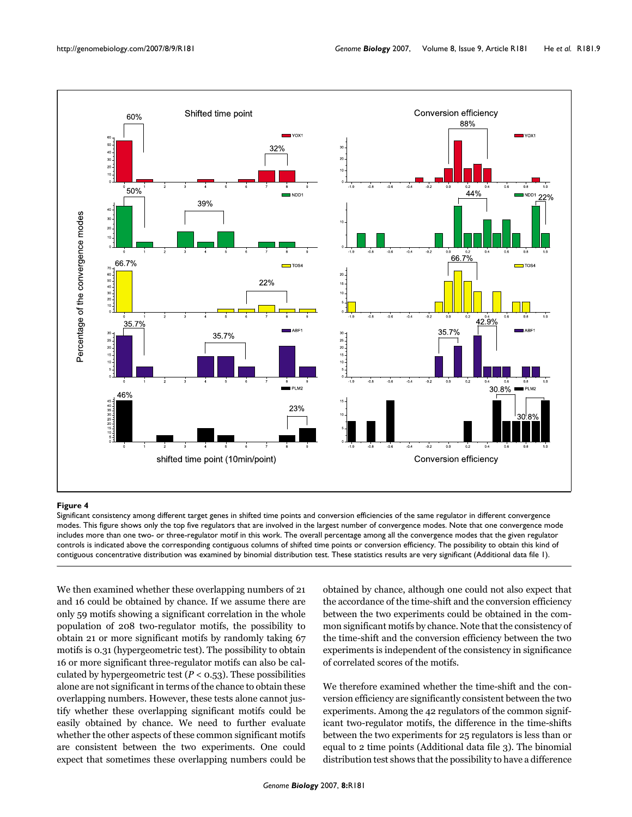<span id="page-8-0"></span>

#### **Figure 4** Significant consistency among different target generaties of the same regulator in different conversion effects of the same regulator in different convergence modes and convergence modes and convergence modes an

Significant consistency among different target genes in shifted time points and conversion efficiencies of the same regulator in different convergence modes. This figure shows only the top five regulators that are involved in the largest number of convergence modes. Note that one convergence mode includes more than one two- or three-regulator motif in this work. The overall percentage among all the convergence modes that the given regulator controls is indicated above the corresponding contiguous columns of shifted time points or conversion efficiency. The possibility to obtain this kind of contiguous concentrative distribution was examined by binomial distribution test. These statistics results are very significant (Additional data file 1).

We then examined whether these overlapping numbers of 21 and 16 could be obtained by chance. If we assume there are only 59 motifs showing a significant correlation in the whole population of 208 two-regulator motifs, the possibility to obtain 21 or more significant motifs by randomly taking 67 motifs is 0.31 (hypergeometric test). The possibility to obtain 16 or more significant three-regulator motifs can also be calculated by hypergeometric test  $(P < 0.53)$ . These possibilities alone are not significant in terms of the chance to obtain these overlapping numbers. However, these tests alone cannot justify whether these overlapping significant motifs could be easily obtained by chance. We need to further evaluate whether the other aspects of these common significant motifs are consistent between the two experiments. One could expect that sometimes these overlapping numbers could be

obtained by chance, although one could not also expect that the accordance of the time-shift and the conversion efficiency between the two experiments could be obtained in the common significant motifs by chance. Note that the consistency of the time-shift and the conversion efficiency between the two experiments is independent of the consistency in significance of correlated scores of the motifs.

We therefore examined whether the time-shift and the conversion efficiency are significantly consistent between the two experiments. Among the 42 regulators of the common significant two-regulator motifs, the difference in the time-shifts between the two experiments for 25 regulators is less than or equal to 2 time points (Additional data file 3). The binomial distribution test shows that the possibility to have a difference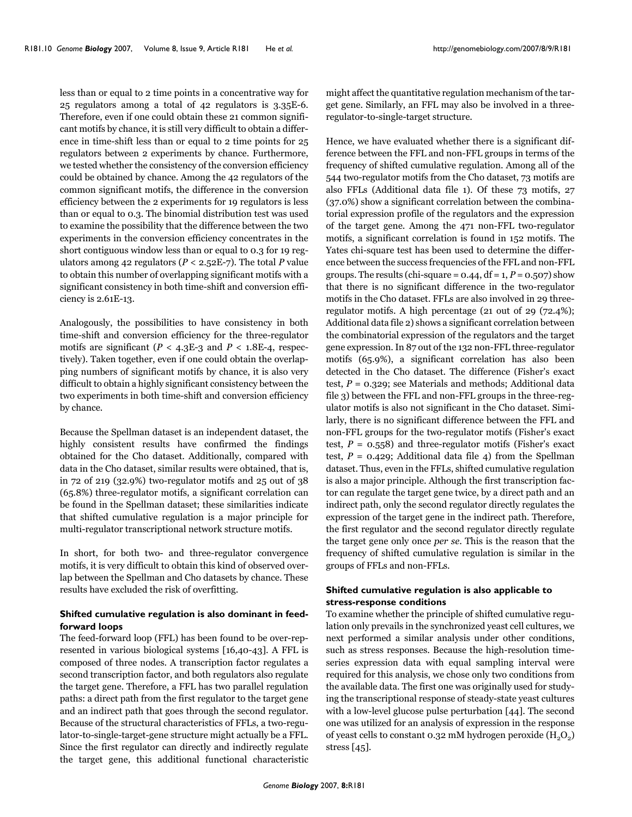less than or equal to 2 time points in a concentrative way for 25 regulators among a total of 42 regulators is 3.35E-6. Therefore, even if one could obtain these 21 common significant motifs by chance, it is still very difficult to obtain a difference in time-shift less than or equal to 2 time points for 25 regulators between 2 experiments by chance. Furthermore, we tested whether the consistency of the conversion efficiency could be obtained by chance. Among the 42 regulators of the common significant motifs, the difference in the conversion efficiency between the 2 experiments for 19 regulators is less than or equal to 0.3. The binomial distribution test was used to examine the possibility that the difference between the two experiments in the conversion efficiency concentrates in the short contiguous window less than or equal to 0.3 for 19 regulators among 42 regulators (*P* < 2.52E-7). The total *P* value to obtain this number of overlapping significant motifs with a significant consistency in both time-shift and conversion efficiency is 2.61E-13.

Analogously, the possibilities to have consistency in both time-shift and conversion efficiency for the three-regulator motifs are significant ( $P < 4.3E-3$  and  $P < 1.8E-4$ , respectively). Taken together, even if one could obtain the overlapping numbers of significant motifs by chance, it is also very difficult to obtain a highly significant consistency between the two experiments in both time-shift and conversion efficiency by chance.

Because the Spellman dataset is an independent dataset, the highly consistent results have confirmed the findings obtained for the Cho dataset. Additionally, compared with data in the Cho dataset, similar results were obtained, that is, in 72 of 219 (32.9%) two-regulator motifs and 25 out of 38 (65.8%) three-regulator motifs, a significant correlation can be found in the Spellman dataset; these similarities indicate that shifted cumulative regulation is a major principle for multi-regulator transcriptional network structure motifs.

In short, for both two- and three-regulator convergence motifs, it is very difficult to obtain this kind of observed overlap between the Spellman and Cho datasets by chance. These results have excluded the risk of overfitting.

## **Shifted cumulative regulation is also dominant in feedforward loops**

The feed-forward loop (FFL) has been found to be over-represented in various biological systems [16,40-43]. A FFL is composed of three nodes. A transcription factor regulates a second transcription factor, and both regulators also regulate the target gene. Therefore, a FFL has two parallel regulation paths: a direct path from the first regulator to the target gene and an indirect path that goes through the second regulator. Because of the structural characteristics of FFLs, a two-regulator-to-single-target-gene structure might actually be a FFL. Since the first regulator can directly and indirectly regulate the target gene, this additional functional characteristic

might affect the quantitative regulation mechanism of the target gene. Similarly, an FFL may also be involved in a threeregulator-to-single-target structure.

Hence, we have evaluated whether there is a significant difference between the FFL and non-FFL groups in terms of the frequency of shifted cumulative regulation. Among all of the 544 two-regulator motifs from the Cho dataset, 73 motifs are also FFLs (Additional data file 1). Of these 73 motifs, 27 (37.0%) show a significant correlation between the combinatorial expression profile of the regulators and the expression of the target gene. Among the 471 non-FFL two-regulator motifs, a significant correlation is found in 152 motifs. The Yates chi-square test has been used to determine the difference between the success frequencies of the FFL and non-FFL groups. The results (chi-square =  $0.44$ ,  $df = 1$ ,  $P = 0.507$ ) show that there is no significant difference in the two-regulator motifs in the Cho dataset. FFLs are also involved in 29 threeregulator motifs. A high percentage (21 out of 29 (72.4%); Additional data file 2) shows a significant correlation between the combinatorial expression of the regulators and the target gene expression. In 87 out of the 132 non-FFL three-regulator motifs (65.9%), a significant correlation has also been detected in the Cho dataset. The difference (Fisher's exact test,  $P = 0.329$ ; see Materials and methods; Additional data file 3) between the FFL and non-FFL groups in the three-regulator motifs is also not significant in the Cho dataset. Similarly, there is no significant difference between the FFL and non-FFL groups for the two-regulator motifs (Fisher's exact test,  $P = 0.558$ ) and three-regulator motifs (Fisher's exact test,  $P = 0.429$ ; Additional data file 4) from the Spellman dataset. Thus, even in the FFLs, shifted cumulative regulation is also a major principle. Although the first transcription factor can regulate the target gene twice, by a direct path and an indirect path, only the second regulator directly regulates the expression of the target gene in the indirect path. Therefore, the first regulator and the second regulator directly regulate the target gene only once *per se*. This is the reason that the frequency of shifted cumulative regulation is similar in the groups of FFLs and non-FFLs.

## **Shifted cumulative regulation is also applicable to stress-response conditions**

To examine whether the principle of shifted cumulative regulation only prevails in the synchronized yeast cell cultures, we next performed a similar analysis under other conditions, such as stress responses. Because the high-resolution timeseries expression data with equal sampling interval were required for this analysis, we chose only two conditions from the available data. The first one was originally used for studying the transcriptional response of steady-state yeast cultures with a low-level glucose pulse perturbation [44]. The second one was utilized for an analysis of expression in the response of yeast cells to constant  $0.32$  mM hydrogen peroxide  $(H<sub>2</sub>O<sub>2</sub>)$ stress [45].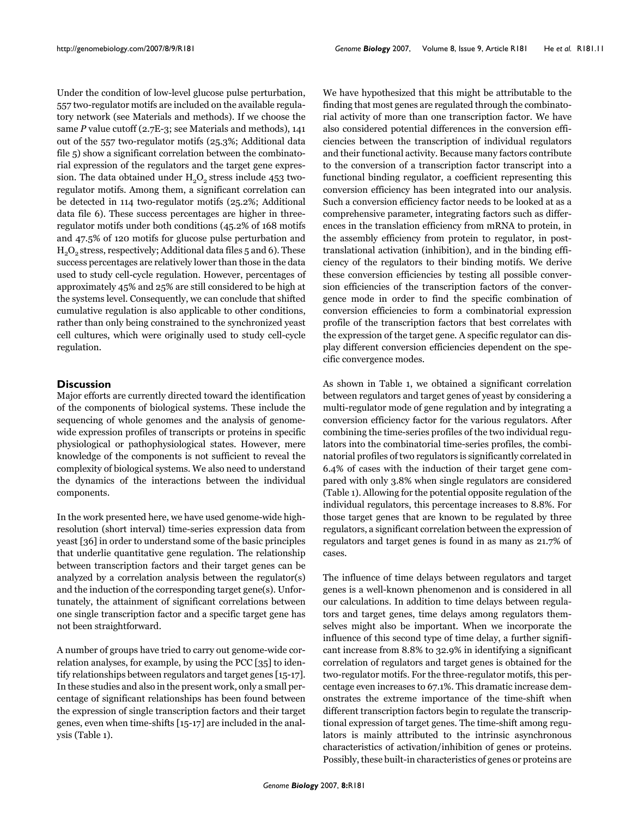Under the condition of low-level glucose pulse perturbation, 557 two-regulator motifs are included on the available regulatory network (see Materials and methods). If we choose the same *P* value cutoff (2.7E-3; see Materials and methods), 141 out of the 557 two-regulator motifs (25.3%; Additional data file 5) show a significant correlation between the combinatorial expression of the regulators and the target gene expression. The data obtained under  $H_2O_2$  stress include 453 tworegulator motifs. Among them, a significant correlation can be detected in 114 two-regulator motifs (25.2%; Additional data file 6). These success percentages are higher in threeregulator motifs under both conditions (45.2% of 168 motifs and 47.5% of 120 motifs for glucose pulse perturbation and  $H<sub>2</sub>O<sub>2</sub>$  stress, respectively; Additional data files 5 and 6). These success percentages are relatively lower than those in the data used to study cell-cycle regulation. However, percentages of approximately 45% and 25% are still considered to be high at the systems level. Consequently, we can conclude that shifted cumulative regulation is also applicable to other conditions, rather than only being constrained to the synchronized yeast cell cultures, which were originally used to study cell-cycle regulation.

## **Discussion**

Major efforts are currently directed toward the identification of the components of biological systems. These include the sequencing of whole genomes and the analysis of genomewide expression profiles of transcripts or proteins in specific physiological or pathophysiological states. However, mere knowledge of the components is not sufficient to reveal the complexity of biological systems. We also need to understand the dynamics of the interactions between the individual components.

In the work presented here, we have used genome-wide highresolution (short interval) time-series expression data from yeast [36] in order to understand some of the basic principles that underlie quantitative gene regulation. The relationship between transcription factors and their target genes can be analyzed by a correlation analysis between the regulator(s) and the induction of the corresponding target gene(s). Unfortunately, the attainment of significant correlations between one single transcription factor and a specific target gene has not been straightforward.

A number of groups have tried to carry out genome-wide correlation analyses, for example, by using the PCC [35] to identify relationships between regulators and target genes [15-17]. In these studies and also in the present work, only a small percentage of significant relationships has been found between the expression of single transcription factors and their target genes, even when time-shifts [15-17] are included in the analysis (Table [1\)](#page-3-0).

We have hypothesized that this might be attributable to the finding that most genes are regulated through the combinatorial activity of more than one transcription factor. We have also considered potential differences in the conversion efficiencies between the transcription of individual regulators and their functional activity. Because many factors contribute to the conversion of a transcription factor transcript into a functional binding regulator, a coefficient representing this conversion efficiency has been integrated into our analysis. Such a conversion efficiency factor needs to be looked at as a comprehensive parameter, integrating factors such as differences in the translation efficiency from mRNA to protein, in the assembly efficiency from protein to regulator, in posttranslational activation (inhibition), and in the binding efficiency of the regulators to their binding motifs. We derive these conversion efficiencies by testing all possible conversion efficiencies of the transcription factors of the convergence mode in order to find the specific combination of conversion efficiencies to form a combinatorial expression profile of the transcription factors that best correlates with the expression of the target gene. A specific regulator can display different conversion efficiencies dependent on the specific convergence modes.

As shown in Table [1](#page-3-0), we obtained a significant correlation between regulators and target genes of yeast by considering a multi-regulator mode of gene regulation and by integrating a conversion efficiency factor for the various regulators. After combining the time-series profiles of the two individual regulators into the combinatorial time-series profiles, the combinatorial profiles of two regulators is significantly correlated in 6.4% of cases with the induction of their target gene compared with only 3.8% when single regulators are considered (Table [1](#page-3-0)). Allowing for the potential opposite regulation of the individual regulators, this percentage increases to 8.8%. For those target genes that are known to be regulated by three regulators, a significant correlation between the expression of regulators and target genes is found in as many as 21.7% of cases.

The influence of time delays between regulators and target genes is a well-known phenomenon and is considered in all our calculations. In addition to time delays between regulators and target genes, time delays among regulators themselves might also be important. When we incorporate the influence of this second type of time delay, a further significant increase from 8.8% to 32.9% in identifying a significant correlation of regulators and target genes is obtained for the two-regulator motifs. For the three-regulator motifs, this percentage even increases to 67.1%. This dramatic increase demonstrates the extreme importance of the time-shift when different transcription factors begin to regulate the transcriptional expression of target genes. The time-shift among regulators is mainly attributed to the intrinsic asynchronous characteristics of activation/inhibition of genes or proteins. Possibly, these built-in characteristics of genes or proteins are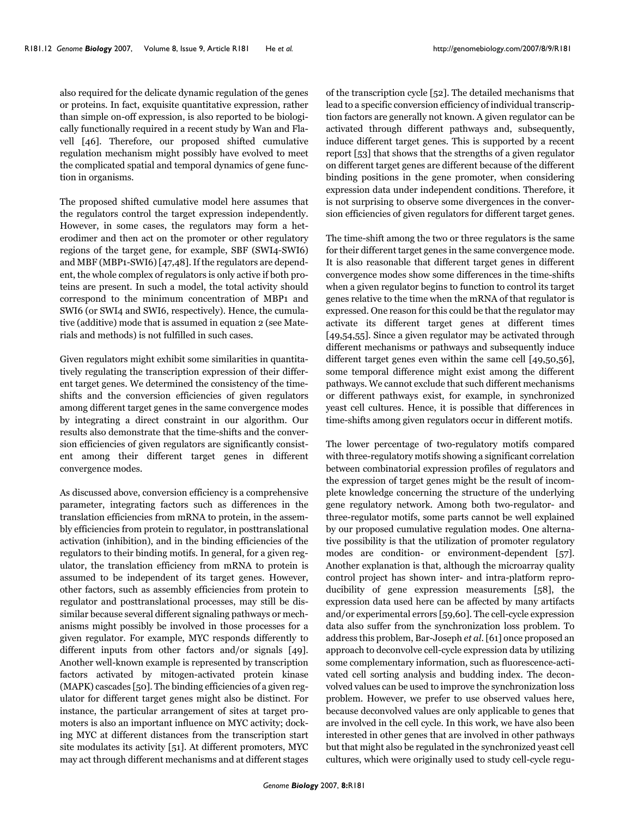also required for the delicate dynamic regulation of the genes or proteins. In fact, exquisite quantitative expression, rather than simple on-off expression, is also reported to be biologically functionally required in a recent study by Wan and Flavell [46]. Therefore, our proposed shifted cumulative regulation mechanism might possibly have evolved to meet the complicated spatial and temporal dynamics of gene function in organisms.

The proposed shifted cumulative model here assumes that the regulators control the target expression independently. However, in some cases, the regulators may form a heterodimer and then act on the promoter or other regulatory regions of the target gene, for example, SBF (SWI4-SWI6) and MBF (MBP1-SWI6) [47,48]. If the regulators are dependent, the whole complex of regulators is only active if both proteins are present. In such a model, the total activity should correspond to the minimum concentration of MBP1 and SWI6 (or SWI4 and SWI6, respectively). Hence, the cumulative (additive) mode that is assumed in equation 2 (see Materials and methods) is not fulfilled in such cases.

Given regulators might exhibit some similarities in quantitatively regulating the transcription expression of their different target genes. We determined the consistency of the timeshifts and the conversion efficiencies of given regulators among different target genes in the same convergence modes by integrating a direct constraint in our algorithm. Our results also demonstrate that the time-shifts and the conversion efficiencies of given regulators are significantly consistent among their different target genes in different convergence modes.

As discussed above, conversion efficiency is a comprehensive parameter, integrating factors such as differences in the translation efficiencies from mRNA to protein, in the assembly efficiencies from protein to regulator, in posttranslational activation (inhibition), and in the binding efficiencies of the regulators to their binding motifs. In general, for a given regulator, the translation efficiency from mRNA to protein is assumed to be independent of its target genes. However, other factors, such as assembly efficiencies from protein to regulator and posttranslational processes, may still be dissimilar because several different signaling pathways or mechanisms might possibly be involved in those processes for a given regulator. For example, MYC responds differently to different inputs from other factors and/or signals [49]. Another well-known example is represented by transcription factors activated by mitogen-activated protein kinase (MAPK) cascades [50]. The binding efficiencies of a given regulator for different target genes might also be distinct. For instance, the particular arrangement of sites at target promoters is also an important influence on MYC activity; docking MYC at different distances from the transcription start site modulates its activity [51]. At different promoters, MYC may act through different mechanisms and at different stages

of the transcription cycle [52]. The detailed mechanisms that lead to a specific conversion efficiency of individual transcription factors are generally not known. A given regulator can be activated through different pathways and, subsequently, induce different target genes. This is supported by a recent report [53] that shows that the strengths of a given regulator on different target genes are different because of the different binding positions in the gene promoter, when considering expression data under independent conditions. Therefore, it is not surprising to observe some divergences in the conversion efficiencies of given regulators for different target genes.

The time-shift among the two or three regulators is the same for their different target genes in the same convergence mode. It is also reasonable that different target genes in different convergence modes show some differences in the time-shifts when a given regulator begins to function to control its target genes relative to the time when the mRNA of that regulator is expressed. One reason for this could be that the regulator may activate its different target genes at different times [49,54,55]. Since a given regulator may be activated through different mechanisms or pathways and subsequently induce different target genes even within the same cell [49,50,56], some temporal difference might exist among the different pathways. We cannot exclude that such different mechanisms or different pathways exist, for example, in synchronized yeast cell cultures. Hence, it is possible that differences in time-shifts among given regulators occur in different motifs.

The lower percentage of two-regulatory motifs compared with three-regulatory motifs showing a significant correlation between combinatorial expression profiles of regulators and the expression of target genes might be the result of incomplete knowledge concerning the structure of the underlying gene regulatory network. Among both two-regulator- and three-regulator motifs, some parts cannot be well explained by our proposed cumulative regulation modes. One alternative possibility is that the utilization of promoter regulatory modes are condition- or environment-dependent [57]. Another explanation is that, although the microarray quality control project has shown inter- and intra-platform reproducibility of gene expression measurements [58], the expression data used here can be affected by many artifacts and/or experimental errors [59,60]. The cell-cycle expression data also suffer from the synchronization loss problem. To address this problem, Bar-Joseph *et al*. [61] once proposed an approach to deconvolve cell-cycle expression data by utilizing some complementary information, such as fluorescence-activated cell sorting analysis and budding index. The deconvolved values can be used to improve the synchronization loss problem. However, we prefer to use observed values here, because deconvolved values are only applicable to genes that are involved in the cell cycle. In this work, we have also been interested in other genes that are involved in other pathways but that might also be regulated in the synchronized yeast cell cultures, which were originally used to study cell-cycle regu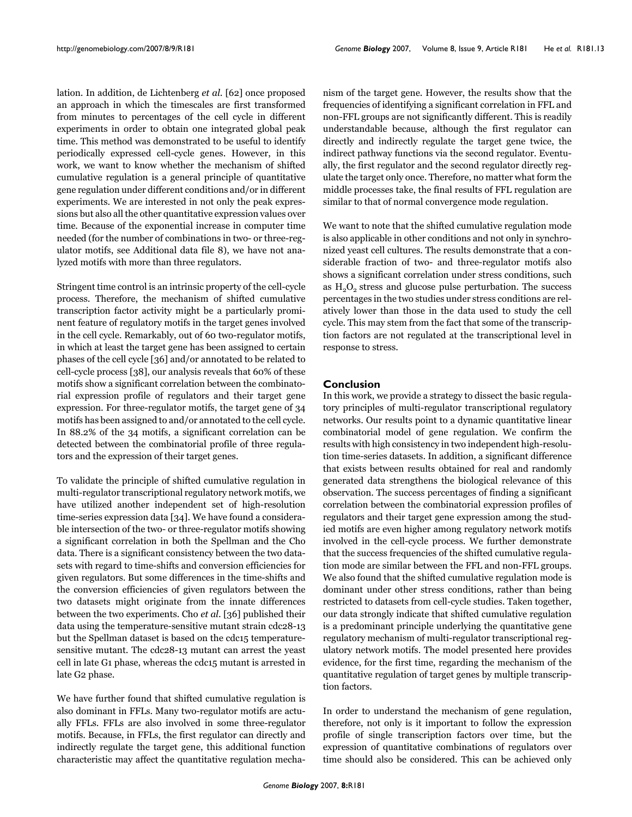lation. In addition, de Lichtenberg *et al*. [62] once proposed an approach in which the timescales are first transformed from minutes to percentages of the cell cycle in different experiments in order to obtain one integrated global peak time. This method was demonstrated to be useful to identify periodically expressed cell-cycle genes. However, in this work, we want to know whether the mechanism of shifted cumulative regulation is a general principle of quantitative gene regulation under different conditions and/or in different experiments. We are interested in not only the peak expressions but also all the other quantitative expression values over time. Because of the exponential increase in computer time needed (for the number of combinations in two- or three-regulator motifs, see Additional data file 8), we have not analyzed motifs with more than three regulators.

Stringent time control is an intrinsic property of the cell-cycle process. Therefore, the mechanism of shifted cumulative transcription factor activity might be a particularly prominent feature of regulatory motifs in the target genes involved in the cell cycle. Remarkably, out of 60 two-regulator motifs, in which at least the target gene has been assigned to certain phases of the cell cycle [36] and/or annotated to be related to cell-cycle process [38], our analysis reveals that 60% of these motifs show a significant correlation between the combinatorial expression profile of regulators and their target gene expression. For three-regulator motifs, the target gene of 34 motifs has been assigned to and/or annotated to the cell cycle. In 88.2% of the 34 motifs, a significant correlation can be detected between the combinatorial profile of three regulators and the expression of their target genes.

To validate the principle of shifted cumulative regulation in multi-regulator transcriptional regulatory network motifs, we have utilized another independent set of high-resolution time-series expression data [34]. We have found a considerable intersection of the two- or three-regulator motifs showing a significant correlation in both the Spellman and the Cho data. There is a significant consistency between the two datasets with regard to time-shifts and conversion efficiencies for given regulators. But some differences in the time-shifts and the conversion efficiencies of given regulators between the two datasets might originate from the innate differences between the two experiments. Cho *et al*. [36] published their data using the temperature-sensitive mutant strain cdc28-13 but the Spellman dataset is based on the cdc15 temperaturesensitive mutant. The cdc28-13 mutant can arrest the yeast cell in late G1 phase, whereas the cdc15 mutant is arrested in late G2 phase.

We have further found that shifted cumulative regulation is also dominant in FFLs. Many two-regulator motifs are actually FFLs. FFLs are also involved in some three-regulator motifs. Because, in FFLs, the first regulator can directly and indirectly regulate the target gene, this additional function characteristic may affect the quantitative regulation mechanism of the target gene. However, the results show that the frequencies of identifying a significant correlation in FFL and non-FFL groups are not significantly different. This is readily understandable because, although the first regulator can directly and indirectly regulate the target gene twice, the indirect pathway functions via the second regulator. Eventually, the first regulator and the second regulator directly regulate the target only once. Therefore, no matter what form the middle processes take, the final results of FFL regulation are similar to that of normal convergence mode regulation.

We want to note that the shifted cumulative regulation mode is also applicable in other conditions and not only in synchronized yeast cell cultures. The results demonstrate that a considerable fraction of two- and three-regulator motifs also shows a significant correlation under stress conditions, such as  $H_2O_2$  stress and glucose pulse perturbation. The success percentages in the two studies under stress conditions are relatively lower than those in the data used to study the cell cycle. This may stem from the fact that some of the transcription factors are not regulated at the transcriptional level in response to stress.

## **Conclusion**

In this work, we provide a strategy to dissect the basic regulatory principles of multi-regulator transcriptional regulatory networks. Our results point to a dynamic quantitative linear combinatorial model of gene regulation. We confirm the results with high consistency in two independent high-resolution time-series datasets. In addition, a significant difference that exists between results obtained for real and randomly generated data strengthens the biological relevance of this observation. The success percentages of finding a significant correlation between the combinatorial expression profiles of regulators and their target gene expression among the studied motifs are even higher among regulatory network motifs involved in the cell-cycle process. We further demonstrate that the success frequencies of the shifted cumulative regulation mode are similar between the FFL and non-FFL groups. We also found that the shifted cumulative regulation mode is dominant under other stress conditions, rather than being restricted to datasets from cell-cycle studies. Taken together, our data strongly indicate that shifted cumulative regulation is a predominant principle underlying the quantitative gene regulatory mechanism of multi-regulator transcriptional regulatory network motifs. The model presented here provides evidence, for the first time, regarding the mechanism of the quantitative regulation of target genes by multiple transcription factors.

In order to understand the mechanism of gene regulation, therefore, not only is it important to follow the expression profile of single transcription factors over time, but the expression of quantitative combinations of regulators over time should also be considered. This can be achieved only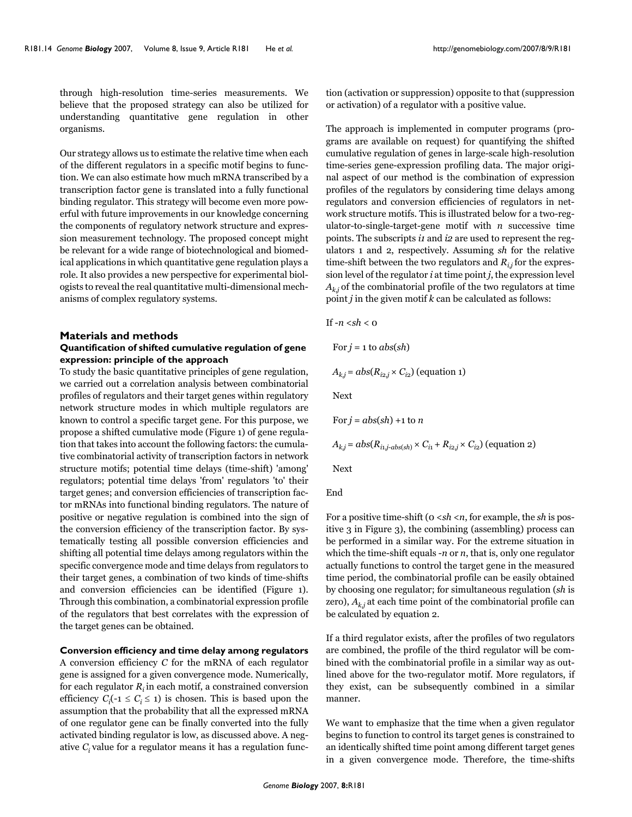through high-resolution time-series measurements. We believe that the proposed strategy can also be utilized for understanding quantitative gene regulation in other organisms.

Our strategy allows us to estimate the relative time when each of the different regulators in a specific motif begins to function. We can also estimate how much mRNA transcribed by a transcription factor gene is translated into a fully functional binding regulator. This strategy will become even more powerful with future improvements in our knowledge concerning the components of regulatory network structure and expression measurement technology. The proposed concept might be relevant for a wide range of biotechnological and biomedical applications in which quantitative gene regulation plays a role. It also provides a new perspective for experimental biologists to reveal the real quantitative multi-dimensional mechanisms of complex regulatory systems.

## **Materials and methods**

## **Quantification of shifted cumulative regulation of gene expression: principle of the approach**

To study the basic quantitative principles of gene regulation, we carried out a correlation analysis between combinatorial profiles of regulators and their target genes within regulatory network structure modes in which multiple regulators are known to control a specific target gene. For this purpose, we propose a shifted cumulative mode (Figure 1) of gene regulation that takes into account the following factors: the cumulative combinatorial activity of transcription factors in network structure motifs; potential time delays (time-shift) 'among' regulators; potential time delays 'from' regulators 'to' their target genes; and conversion efficiencies of transcription factor mRNAs into functional binding regulators. The nature of positive or negative regulation is combined into the sign of the conversion efficiency of the transcription factor. By systematically testing all possible conversion efficiencies and shifting all potential time delays among regulators within the specific convergence mode and time delays from regulators to their target genes, a combination of two kinds of time-shifts and conversion efficiencies can be identified (Figure 1). Through this combination, a combinatorial expression profile of the regulators that best correlates with the expression of the target genes can be obtained.

## **Conversion efficiency and time delay among regulators** A conversion efficiency *C* for the mRNA of each regulator gene is assigned for a given convergence mode. Numerically, for each regulator  $R_i$  in each motif, a constrained conversion efficiency  $C_i(-1 \leq C_i \leq 1)$  is chosen. This is based upon the assumption that the probability that all the expressed mRNA of one regulator gene can be finally converted into the fully activated binding regulator is low, as discussed above. A negative  $C_i$  value for a regulator means it has a regulation func-

tion (activation or suppression) opposite to that (suppression or activation) of a regulator with a positive value.

The approach is implemented in computer programs (programs are available on request) for quantifying the shifted cumulative regulation of genes in large-scale high-resolution time-series gene-expression profiling data. The major original aspect of our method is the combination of expression profiles of the regulators by considering time delays among regulators and conversion efficiencies of regulators in network structure motifs. This is illustrated below for a two-regulator-to-single-target-gene motif with *n* successive time points. The subscripts *i1* and *i2* are used to represent the regulators 1 and 2, respectively. Assuming *sh* for the relative time-shift between the two regulators and  $R_{i,j}$  for the expression level of the regulator *i* at time point *j*, the expression level  $A_{k,i}$  of the combinatorial profile of the two regulators at time point *j* in the given motif *k* can be calculated as follows:

$$
\text{If } \textit{-n} \text{ <}\textit{sh} \text{ <}\text{ o}
$$

For 
$$
j = 1
$$
 to  $abs(sh)$   
\n $A_{kj} = abs(R_{i2,j} \times C_{i2})$  (equation 1)  
\nNext  
\nFor  $j = abs(sh) + 1$  to  $n$ 

 $A_{k,j} = abs(R_{i1,j-abs(sh)} \times C_{i1} + R_{i2,j} \times C_{i2})$  (equation 2)

Next

End

For a positive time-shift (0 <*sh* <*n*, for example, the *sh* is positive 3 in Figure 3), the combining (assembling) process can be performed in a similar way. For the extreme situation in which the time-shift equals -*n* or *n*, that is, only one regulator actually functions to control the target gene in the measured time period, the combinatorial profile can be easily obtained by choosing one regulator; for simultaneous regulation (*sh* is zero),  $A_{k,i}$  at each time point of the combinatorial profile can be calculated by equation 2.

If a third regulator exists, after the profiles of two regulators are combined, the profile of the third regulator will be combined with the combinatorial profile in a similar way as outlined above for the two-regulator motif. More regulators, if they exist, can be subsequently combined in a similar manner.

We want to emphasize that the time when a given regulator begins to function to control its target genes is constrained to an identically shifted time point among different target genes in a given convergence mode. Therefore, the time-shifts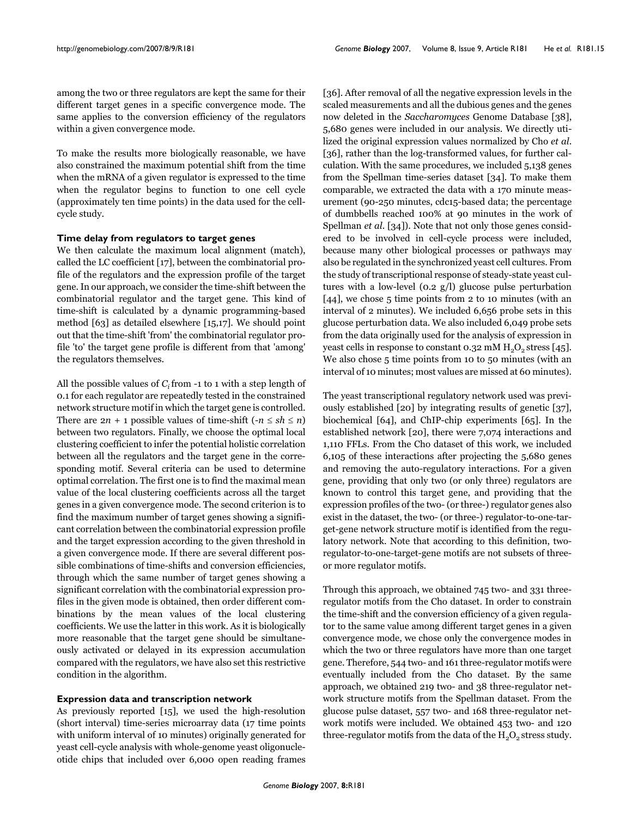among the two or three regulators are kept the same for their different target genes in a specific convergence mode. The same applies to the conversion efficiency of the regulators within a given convergence mode.

To make the results more biologically reasonable, we have also constrained the maximum potential shift from the time when the mRNA of a given regulator is expressed to the time when the regulator begins to function to one cell cycle (approximately ten time points) in the data used for the cellcycle study.

#### **Time delay from regulators to target genes**

We then calculate the maximum local alignment (match), called the LC coefficient [17], between the combinatorial profile of the regulators and the expression profile of the target gene. In our approach, we consider the time-shift between the combinatorial regulator and the target gene. This kind of time-shift is calculated by a dynamic programming-based method [63] as detailed elsewhere [15,17]. We should point out that the time-shift 'from' the combinatorial regulator profile 'to' the target gene profile is different from that 'among' the regulators themselves.

All the possible values of  $C_i$  from -1 to 1 with a step length of 0.1 for each regulator are repeatedly tested in the constrained network structure motif in which the target gene is controlled. There are  $2n + 1$  possible values of time-shift  $(-n \leq sh \leq n)$ between two regulators. Finally, we choose the optimal local clustering coefficient to infer the potential holistic correlation between all the regulators and the target gene in the corresponding motif. Several criteria can be used to determine optimal correlation. The first one is to find the maximal mean value of the local clustering coefficients across all the target genes in a given convergence mode. The second criterion is to find the maximum number of target genes showing a significant correlation between the combinatorial expression profile and the target expression according to the given threshold in a given convergence mode. If there are several different possible combinations of time-shifts and conversion efficiencies, through which the same number of target genes showing a significant correlation with the combinatorial expression profiles in the given mode is obtained, then order different combinations by the mean values of the local clustering coefficients. We use the latter in this work. As it is biologically more reasonable that the target gene should be simultaneously activated or delayed in its expression accumulation compared with the regulators, we have also set this restrictive condition in the algorithm.

#### **Expression data and transcription network**

As previously reported [15], we used the high-resolution (short interval) time-series microarray data (17 time points with uniform interval of 10 minutes) originally generated for yeast cell-cycle analysis with whole-genome yeast oligonucleotide chips that included over 6,000 open reading frames

[36]. After removal of all the negative expression levels in the scaled measurements and all the dubious genes and the genes now deleted in the *Saccharomyces* Genome Database [38], 5,680 genes were included in our analysis. We directly utilized the original expression values normalized by Cho *et al*. [36], rather than the log-transformed values, for further calculation. With the same procedures, we included 5,138 genes from the Spellman time-series dataset [34]. To make them comparable, we extracted the data with a 170 minute measurement (90-250 minutes, cdc15-based data; the percentage of dumbbells reached 100% at 90 minutes in the work of Spellman *et al*. [34]). Note that not only those genes considered to be involved in cell-cycle process were included, because many other biological processes or pathways may also be regulated in the synchronized yeast cell cultures. From the study of transcriptional response of steady-state yeast cultures with a low-level (0.2 g/l) glucose pulse perturbation [44], we chose 5 time points from 2 to 10 minutes (with an interval of 2 minutes). We included 6,656 probe sets in this glucose perturbation data. We also included 6,049 probe sets from the data originally used for the analysis of expression in yeast cells in response to constant  $0.32 \text{ mM H}_{2}O_{2}$  stress [45]. We also chose 5 time points from 10 to 50 minutes (with an interval of 10 minutes; most values are missed at 60 minutes).

The yeast transcriptional regulatory network used was previously established [20] by integrating results of genetic [37], biochemical [64], and ChIP-chip experiments [65]. In the established network [20], there were 7,074 interactions and 1,110 FFLs. From the Cho dataset of this work, we included 6,105 of these interactions after projecting the 5,680 genes and removing the auto-regulatory interactions. For a given gene, providing that only two (or only three) regulators are known to control this target gene, and providing that the expression profiles of the two- (or three-) regulator genes also exist in the dataset, the two- (or three-) regulator-to-one-target-gene network structure motif is identified from the regulatory network. Note that according to this definition, tworegulator-to-one-target-gene motifs are not subsets of threeor more regulator motifs.

Through this approach, we obtained 745 two- and 331 threeregulator motifs from the Cho dataset. In order to constrain the time-shift and the conversion efficiency of a given regulator to the same value among different target genes in a given convergence mode, we chose only the convergence modes in which the two or three regulators have more than one target gene. Therefore, 544 two- and 161 three-regulator motifs were eventually included from the Cho dataset. By the same approach, we obtained 219 two- and 38 three-regulator network structure motifs from the Spellman dataset. From the glucose pulse dataset, 557 two- and 168 three-regulator network motifs were included. We obtained 453 two- and 120 three-regulator motifs from the data of the  $H_2O_2$  stress study.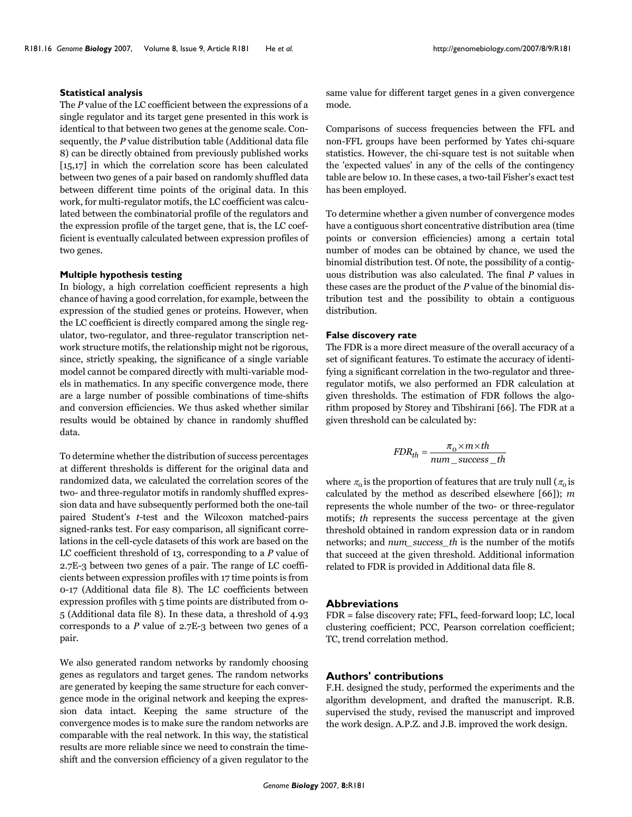#### **Statistical analysis**

The *P* value of the LC coefficient between the expressions of a single regulator and its target gene presented in this work is identical to that between two genes at the genome scale. Consequently, the *P* value distribution table (Additional data file 8) can be directly obtained from previously published works [15,17] in which the correlation score has been calculated between two genes of a pair based on randomly shuffled data between different time points of the original data. In this work, for multi-regulator motifs, the LC coefficient was calculated between the combinatorial profile of the regulators and the expression profile of the target gene, that is, the LC coefficient is eventually calculated between expression profiles of two genes.

## **Multiple hypothesis testing**

In biology, a high correlation coefficient represents a high chance of having a good correlation, for example, between the expression of the studied genes or proteins. However, when the LC coefficient is directly compared among the single regulator, two-regulator, and three-regulator transcription network structure motifs, the relationship might not be rigorous, since, strictly speaking, the significance of a single variable model cannot be compared directly with multi-variable models in mathematics. In any specific convergence mode, there are a large number of possible combinations of time-shifts and conversion efficiencies. We thus asked whether similar results would be obtained by chance in randomly shuffled data.

To determine whether the distribution of success percentages at different thresholds is different for the original data and randomized data, we calculated the correlation scores of the two- and three-regulator motifs in randomly shuffled expression data and have subsequently performed both the one-tail paired Student's *t*-test and the Wilcoxon matched-pairs signed-ranks test. For easy comparison, all significant correlations in the cell-cycle datasets of this work are based on the LC coefficient threshold of 13, corresponding to a *P* value of 2.7E-3 between two genes of a pair. The range of LC coefficients between expression profiles with 17 time points is from 0-17 (Additional data file 8). The LC coefficients between expression profiles with 5 time points are distributed from 0- 5 (Additional data file 8). In these data, a threshold of 4.93 corresponds to a *P* value of 2.7E-3 between two genes of a pair.

We also generated random networks by randomly choosing genes as regulators and target genes. The random networks are generated by keeping the same structure for each convergence mode in the original network and keeping the expression data intact. Keeping the same structure of the convergence modes is to make sure the random networks are comparable with the real network. In this way, the statistical results are more reliable since we need to constrain the timeshift and the conversion efficiency of a given regulator to the

same value for different target genes in a given convergence mode.

Comparisons of success frequencies between the FFL and non-FFL groups have been performed by Yates chi-square statistics. However, the chi-square test is not suitable when the 'expected values' in any of the cells of the contingency table are below 10. In these cases, a two-tail Fisher's exact test has been employed.

To determine whether a given number of convergence modes have a contiguous short concentrative distribution area (time points or conversion efficiencies) among a certain total number of modes can be obtained by chance, we used the binomial distribution test. Of note, the possibility of a contiguous distribution was also calculated. The final *P* values in these cases are the product of the *P* value of the binomial distribution test and the possibility to obtain a contiguous distribution.

#### **False discovery rate**

The FDR is a more direct measure of the overall accuracy of a set of significant features. To estimate the accuracy of identifying a significant correlation in the two-regulator and threeregulator motifs, we also performed an FDR calculation at given thresholds. The estimation of FDR follows the algorithm proposed by Storey and Tibshirani [66]. The FDR at a given threshold can be calculated by:

$$
FDR_{th} = \frac{\pi_0 \times m \times th}{num\_success\_th}
$$

where  $\pi_0$  is the proportion of features that are truly null ( $\pi_0$  is calculated by the method as described elsewhere [66]); *m* represents the whole number of the two- or three-regulator motifs; *th* represents the success percentage at the given threshold obtained in random expression data or in random networks; and *num\_success\_th* is the number of the motifs that succeed at the given threshold. Additional information related to FDR is provided in Additional data file 8.

#### **Abbreviations**

FDR = false discovery rate; FFL, feed-forward loop; LC, local clustering coefficient; PCC, Pearson correlation coefficient; TC, trend correlation method.

## **Authors' contributions**

F.H. designed the study, performed the experiments and the algorithm development, and drafted the manuscript. R.B. supervised the study, revised the manuscript and improved the work design. A.P.Z. and J.B. improved the work design.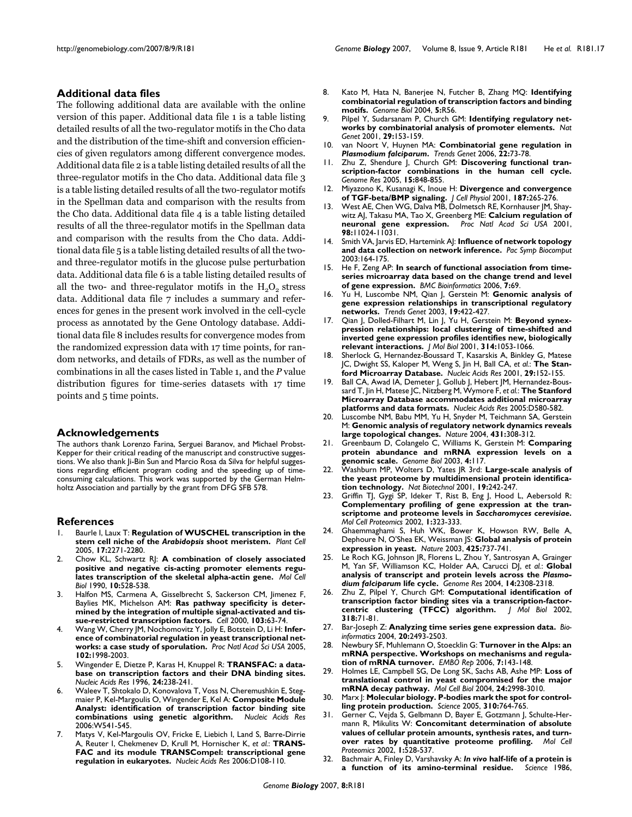#### **Additional data files**

The following additional data are available with the online version of this paper. Additional data file 1 is a table listing detailed results of all the two-regulator motifs in the Cho data and the distribution of the time-shift and conversion efficiencies of given regulators among different convergence modes. Additional data file 2 is a table listing detailed results of all the three-regulator motifs in the Cho data. Additional data file 3 is a table listing detailed results of all the two-regulator motifs in the Spellman data and comparison with the results from the Cho data. Additional data file 4 is a table listing detailed results of all the three-regulator motifs in the Spellman data and comparison with the results from the Cho data. Additional data file 5 is a table listing detailed results of all the twoand three-regulator motifs in the glucose pulse perturbation data. Additional data file 6 is a table listing detailed results of all the two- and three-regulator motifs in the  $H_2O_2$  stress data. Additional data file 7 includes a summary and references for genes in the present work involved in the cell-cycle process as annotated by the Gene Ontology database. Additional data file 8 includes results for convergence modes from the randomized expression data with 17 time points, for random networks, and details of FDRs, as well as the number of combinations in all the cases listed in Table [1,](#page-3-0) and the *P* value distribution figures for time-series datasets with 17 time points and 5 time points.

#### **Acknowledgements**

The authors thank Lorenzo Farina, Serguei Baranov, and Michael Probst-Kepper for their critical reading of the manuscript and constructive suggestions. We also thank Ji-Bin Sun and Marcio Rosa da Silva for helpful suggestions regarding efficient program coding and the speeding up of timeconsuming calculations. This work was supported by the German Helmholtz Association and partially by the grant from DFG SFB 578.

#### **References**

- 1. Baurle I, Laux T: **Regulation of WUSCHEL transcription in the stem cell niche of the** *Arabidopsis* **[shoot meristem.](http://www.ncbi.nlm.nih.gov/entrez/query.fcgi?cmd=Retrieve&db=PubMed&dopt=Abstract&list_uids=15980263)** *Plant Cell* 2005, **17:**2271-2280.
- 2. Chow KL, Schwartz RJ: **[A combination of closely associated](http://www.ncbi.nlm.nih.gov/entrez/query.fcgi?cmd=Retrieve&db=PubMed&dopt=Abstract&list_uids=2300053) [positive and negative cis-acting promoter elements regu](http://www.ncbi.nlm.nih.gov/entrez/query.fcgi?cmd=Retrieve&db=PubMed&dopt=Abstract&list_uids=2300053)[lates transcription of the skeletal alpha-actin gene.](http://www.ncbi.nlm.nih.gov/entrez/query.fcgi?cmd=Retrieve&db=PubMed&dopt=Abstract&list_uids=2300053)** *Mol Cell Biol* 1990, **10:**528-538.
- Halfon MS, Carmena A, Gisselbrecht S, Sackerson CM, Jimenez F, Baylies MK, Michelson AM: **[Ras pathway specificity is deter](http://www.ncbi.nlm.nih.gov/entrez/query.fcgi?cmd=Retrieve&db=PubMed&dopt=Abstract&list_uids=11051548)[mined by the integration of multiple signal-activated and tis](http://www.ncbi.nlm.nih.gov/entrez/query.fcgi?cmd=Retrieve&db=PubMed&dopt=Abstract&list_uids=11051548)[sue-restricted transcription factors.](http://www.ncbi.nlm.nih.gov/entrez/query.fcgi?cmd=Retrieve&db=PubMed&dopt=Abstract&list_uids=11051548)** *Cell* 2000, **103:**63-74.
- 4. Wang W, Cherry JM, Nochomovitz Y, Jolly E, Botstein D, Li H: **[Infer](http://www.ncbi.nlm.nih.gov/entrez/query.fcgi?cmd=Retrieve&db=PubMed&dopt=Abstract&list_uids=15684073)[ence of combinatorial regulation in yeast transcriptional net](http://www.ncbi.nlm.nih.gov/entrez/query.fcgi?cmd=Retrieve&db=PubMed&dopt=Abstract&list_uids=15684073)[works: a case study of sporulation.](http://www.ncbi.nlm.nih.gov/entrez/query.fcgi?cmd=Retrieve&db=PubMed&dopt=Abstract&list_uids=15684073)** *Proc Natl Acad Sci USA* 2005, **102:**1998-2003.
- 5. Wingender E, Dietze P, Karas H, Knuppel R: **[TRANSFAC: a data](http://www.ncbi.nlm.nih.gov/entrez/query.fcgi?cmd=Retrieve&db=PubMed&dopt=Abstract&list_uids=8594589)[base on transcription factors and their DNA binding sites.](http://www.ncbi.nlm.nih.gov/entrez/query.fcgi?cmd=Retrieve&db=PubMed&dopt=Abstract&list_uids=8594589)** *Nucleic Acids Res* 1996, **24:**238-241.
- 6. Waleev T, Shtokalo D, Konovalova T, Voss N, Cheremushkin E, Stegmaier P, Kel-Margoulis O, Wingender E, Kel A: **[Composite Module](http://www.ncbi.nlm.nih.gov/entrez/query.fcgi?cmd=Retrieve&db=PubMed&dopt=Abstract&list_uids=16845066) [Analyst: identification of transcription factor binding site](http://www.ncbi.nlm.nih.gov/entrez/query.fcgi?cmd=Retrieve&db=PubMed&dopt=Abstract&list_uids=16845066) [combinations using genetic algorithm.](http://www.ncbi.nlm.nih.gov/entrez/query.fcgi?cmd=Retrieve&db=PubMed&dopt=Abstract&list_uids=16845066)** *Nucleic Acids Res* 2006:W541-545.
- Matys V, Kel-Margoulis OV, Fricke E, Liebich I, Land S, Barre-Dirrie A, Reuter I, Chekmenev D, Krull M, Hornischer K, *et al.*: **[TRANS-](http://www.ncbi.nlm.nih.gov/entrez/query.fcgi?cmd=Retrieve&db=PubMed&dopt=Abstract&list_uids=16381825)[FAC and its module TRANSCompel: transcriptional gene](http://www.ncbi.nlm.nih.gov/entrez/query.fcgi?cmd=Retrieve&db=PubMed&dopt=Abstract&list_uids=16381825) [regulation in eukaryotes.](http://www.ncbi.nlm.nih.gov/entrez/query.fcgi?cmd=Retrieve&db=PubMed&dopt=Abstract&list_uids=16381825)** *Nucleic Acids Res* 2006:D108-110.
- 8. Kato M, Hata N, Banerjee N, Futcher B, Zhang MQ: **[Identifying](http://www.ncbi.nlm.nih.gov/entrez/query.fcgi?cmd=Retrieve&db=PubMed&dopt=Abstract&list_uids=15287978) [combinatorial regulation of transcription factors and binding](http://www.ncbi.nlm.nih.gov/entrez/query.fcgi?cmd=Retrieve&db=PubMed&dopt=Abstract&list_uids=15287978) [motifs.](http://www.ncbi.nlm.nih.gov/entrez/query.fcgi?cmd=Retrieve&db=PubMed&dopt=Abstract&list_uids=15287978)** *Genome Biol* 2004, **5:**R56.
- 9. Pilpel Y, Sudarsanam P, Church GM: **[Identifying regulatory net](http://www.ncbi.nlm.nih.gov/entrez/query.fcgi?cmd=Retrieve&db=PubMed&dopt=Abstract&list_uids=11547334)[works by combinatorial analysis of promoter elements.](http://www.ncbi.nlm.nih.gov/entrez/query.fcgi?cmd=Retrieve&db=PubMed&dopt=Abstract&list_uids=11547334)** *Nat Genet* 2001, **29:**153-159.
- 10. van Noort V, Huynen MA: **Combinatorial gene regulation in** *Plasmodium falciparum***[.](http://www.ncbi.nlm.nih.gov/entrez/query.fcgi?cmd=Retrieve&db=PubMed&dopt=Abstract&list_uids=16380193)** *Trends Genet* 2006, **22:**73-78.
- 11. Zhu Z, Shendure J, Church GM: **[Discovering functional tran](http://www.ncbi.nlm.nih.gov/entrez/query.fcgi?cmd=Retrieve&db=PubMed&dopt=Abstract&list_uids=15930495)[scription-factor combinations in the human cell cycle.](http://www.ncbi.nlm.nih.gov/entrez/query.fcgi?cmd=Retrieve&db=PubMed&dopt=Abstract&list_uids=15930495)** *Genome Res* 2005, **15:**848-855.
- 12. Miyazono K, Kusanagi K, Inoue H: **[Divergence and convergence](http://www.ncbi.nlm.nih.gov/entrez/query.fcgi?cmd=Retrieve&db=PubMed&dopt=Abstract&list_uids=11319750) [of TGF-beta/BMP signaling.](http://www.ncbi.nlm.nih.gov/entrez/query.fcgi?cmd=Retrieve&db=PubMed&dopt=Abstract&list_uids=11319750)** *J Cell Physiol* 2001, **187:**265-276.
- 13. West AE, Chen WG, Dalva MB, Dolmetsch RE, Kornhauser JM, Shaywitz AJ, Takasu MA, Tao X, Greenberg ME: **[Calcium regulation of](http://www.ncbi.nlm.nih.gov/entrez/query.fcgi?cmd=Retrieve&db=PubMed&dopt=Abstract&list_uids=11572963) [neuronal gene expression.](http://www.ncbi.nlm.nih.gov/entrez/query.fcgi?cmd=Retrieve&db=PubMed&dopt=Abstract&list_uids=11572963)** *Proc Natl Acad Sci USA* 2001, **98:**11024-11031.
- 14. Smith VA, Jarvis ED, Hartemink AJ: **[Influence of network topology](http://www.ncbi.nlm.nih.gov/entrez/query.fcgi?cmd=Retrieve&db=PubMed&dopt=Abstract&list_uids=12603026) [and data collection on network inference.](http://www.ncbi.nlm.nih.gov/entrez/query.fcgi?cmd=Retrieve&db=PubMed&dopt=Abstract&list_uids=12603026)** *Pac Symp Biocomput* 2003:164-175.
- 15. He F, Zeng AP: **[In search of functional association from time](http://www.ncbi.nlm.nih.gov/entrez/query.fcgi?cmd=Retrieve&db=PubMed&dopt=Abstract&list_uids=16478547)[series microarray data based on the change trend and level](http://www.ncbi.nlm.nih.gov/entrez/query.fcgi?cmd=Retrieve&db=PubMed&dopt=Abstract&list_uids=16478547) [of gene expression.](http://www.ncbi.nlm.nih.gov/entrez/query.fcgi?cmd=Retrieve&db=PubMed&dopt=Abstract&list_uids=16478547)** *BMC Bioinformatics* 2006, **7:**69.
- 16. Yu H, Luscombe NM, Qian J, Gerstein M: **[Genomic analysis of](http://www.ncbi.nlm.nih.gov/entrez/query.fcgi?cmd=Retrieve&db=PubMed&dopt=Abstract&list_uids=12902159) [gene expression relationships in transcriptional regulatory](http://www.ncbi.nlm.nih.gov/entrez/query.fcgi?cmd=Retrieve&db=PubMed&dopt=Abstract&list_uids=12902159) [networks.](http://www.ncbi.nlm.nih.gov/entrez/query.fcgi?cmd=Retrieve&db=PubMed&dopt=Abstract&list_uids=12902159)** *Trends Genet* 2003, **19:**422-427.
- 17. Qian J, Dolled-Filhart M, Lin J, Yu H, Gerstein M: **[Beyond synex](http://www.ncbi.nlm.nih.gov/entrez/query.fcgi?cmd=Retrieve&db=PubMed&dopt=Abstract&list_uids=11743722)[pression relationships: local clustering of time-shifted and](http://www.ncbi.nlm.nih.gov/entrez/query.fcgi?cmd=Retrieve&db=PubMed&dopt=Abstract&list_uids=11743722) inverted gene expression profiles identifies new, biologically [relevant interactions.](http://www.ncbi.nlm.nih.gov/entrez/query.fcgi?cmd=Retrieve&db=PubMed&dopt=Abstract&list_uids=11743722)** *J Mol Biol* 2001, **314:**1053-1066.
- Sherlock G, Hernandez-Boussard T, Kasarskis A, Binkley G, Matese JC, Dwight SS, Kaloper M, Weng S, Jin H, Ball CA, *et al.*: **[The Stan](http://www.ncbi.nlm.nih.gov/entrez/query.fcgi?cmd=Retrieve&db=PubMed&dopt=Abstract&list_uids=11125075)[ford Microarray Database.](http://www.ncbi.nlm.nih.gov/entrez/query.fcgi?cmd=Retrieve&db=PubMed&dopt=Abstract&list_uids=11125075)** *Nucleic Acids Res* 2001, **29:**152-155.
- 19. Ball CA, Awad IA, Demeter J, Gollub J, Hebert JM, Hernandez-Boussard T, Jin H, Matese JC, Nitzberg M, Wymore F, *et al.*: **[The Stanford](http://www.ncbi.nlm.nih.gov/entrez/query.fcgi?cmd=Retrieve&db=PubMed&dopt=Abstract&list_uids=15608265) [Microarray Database accommodates additional microarray](http://www.ncbi.nlm.nih.gov/entrez/query.fcgi?cmd=Retrieve&db=PubMed&dopt=Abstract&list_uids=15608265) [platforms and data formats.](http://www.ncbi.nlm.nih.gov/entrez/query.fcgi?cmd=Retrieve&db=PubMed&dopt=Abstract&list_uids=15608265)** *Nucleic Acids Res* 2005:D580-582.
- 20. Luscombe NM, Babu MM, Yu H, Snyder M, Teichmann SA, Gerstein M: **[Genomic analysis of regulatory network dynamics reveals](http://www.ncbi.nlm.nih.gov/entrez/query.fcgi?cmd=Retrieve&db=PubMed&dopt=Abstract&list_uids=15372033) [large topological changes.](http://www.ncbi.nlm.nih.gov/entrez/query.fcgi?cmd=Retrieve&db=PubMed&dopt=Abstract&list_uids=15372033)** *Nature* 2004, **431:**308-312.
- 21. Greenbaum D, Colangelo C, Williams K, Gerstein M: **[Comparing](http://www.ncbi.nlm.nih.gov/entrez/query.fcgi?cmd=Retrieve&db=PubMed&dopt=Abstract&list_uids=12952525) [protein abundance and mRNA expression levels on a](http://www.ncbi.nlm.nih.gov/entrez/query.fcgi?cmd=Retrieve&db=PubMed&dopt=Abstract&list_uids=12952525) [genomic scale.](http://www.ncbi.nlm.nih.gov/entrez/query.fcgi?cmd=Retrieve&db=PubMed&dopt=Abstract&list_uids=12952525)** *Genome Biol* 2003, **4:**117.
- 22. Washburn MP, Wolters D, Yates JR 3rd: **[Large-scale analysis of](http://www.ncbi.nlm.nih.gov/entrez/query.fcgi?cmd=Retrieve&db=PubMed&dopt=Abstract&list_uids=11231557) [the yeast proteome by multidimensional protein identifica](http://www.ncbi.nlm.nih.gov/entrez/query.fcgi?cmd=Retrieve&db=PubMed&dopt=Abstract&list_uids=11231557)[tion technology.](http://www.ncbi.nlm.nih.gov/entrez/query.fcgi?cmd=Retrieve&db=PubMed&dopt=Abstract&list_uids=11231557)** *Nat Biotechnol* 2001, **19:**242-247.
- 23. Griffin TJ, Gygi SP, Ideker T, Rist B, Eng J, Hood L, Aebersold R: **Complementary profiling of gene expression at the transcriptome and proteome levels in** *Saccharomyces cerevisiae***[.](http://www.ncbi.nlm.nih.gov/entrez/query.fcgi?cmd=Retrieve&db=PubMed&dopt=Abstract&list_uids=12096114)** *Mol Cell Proteomics* 2002, **1:**323-333.
- 24. Ghaemmaghami S, Huh WK, Bower K, Howson RW, Belle A, Dephoure N, O'Shea EK, Weissman JS: **[Global analysis of protein](http://www.ncbi.nlm.nih.gov/entrez/query.fcgi?cmd=Retrieve&db=PubMed&dopt=Abstract&list_uids=14562106) [expression in yeast.](http://www.ncbi.nlm.nih.gov/entrez/query.fcgi?cmd=Retrieve&db=PubMed&dopt=Abstract&list_uids=14562106)** *Nature* 2003, **425:**737-741.
- 25. Le Roch KG, Johnson JR, Florens L, Zhou Y, Santrosyan A, Grainger M, Yan SF, Williamson KC, Holder AA, Carucci DJ, *et al.*: **Global analysis of transcript and protein levels across the** *Plasmodium falciparum* **[life cycle.](http://www.ncbi.nlm.nih.gov/entrez/query.fcgi?cmd=Retrieve&db=PubMed&dopt=Abstract&list_uids=15520293)** *Genome Res* 2004, **14:**2308-2318.
- 26. Zhu Z, Pilpel Y, Church GM: **[Computational identification of](http://www.ncbi.nlm.nih.gov/entrez/query.fcgi?cmd=Retrieve&db=PubMed&dopt=Abstract&list_uids=12054769) [transcription factor binding sites via a transcription-factor](http://www.ncbi.nlm.nih.gov/entrez/query.fcgi?cmd=Retrieve&db=PubMed&dopt=Abstract&list_uids=12054769)[centric clustering \(TFCC\) algorithm.](http://www.ncbi.nlm.nih.gov/entrez/query.fcgi?cmd=Retrieve&db=PubMed&dopt=Abstract&list_uids=12054769)** *J Mol Biol* 2002, **318:**71-81.
- 27. Bar-Joseph Z: **[Analyzing time series gene expression data.](http://www.ncbi.nlm.nih.gov/entrez/query.fcgi?cmd=Retrieve&db=PubMed&dopt=Abstract&list_uids=15130923)** *Bioinformatics* 2004, **20:**2493-2503.
- 28. Newbury SF, Muhlemann O, Stoecklin G: **[Turnover in the Alps: an](http://www.ncbi.nlm.nih.gov/entrez/query.fcgi?cmd=Retrieve&db=PubMed&dopt=Abstract&list_uids=16439997) [mRNA perspective. Workshops on mechanisms and regula](http://www.ncbi.nlm.nih.gov/entrez/query.fcgi?cmd=Retrieve&db=PubMed&dopt=Abstract&list_uids=16439997)[tion of mRNA turnover.](http://www.ncbi.nlm.nih.gov/entrez/query.fcgi?cmd=Retrieve&db=PubMed&dopt=Abstract&list_uids=16439997)** *EMBO Rep* 2006, **7:**143-148.
- 29. Holmes LE, Campbell SG, De Long SK, Sachs AB, Ashe MP: **[Loss of](http://www.ncbi.nlm.nih.gov/entrez/query.fcgi?cmd=Retrieve&db=PubMed&dopt=Abstract&list_uids=15024087) [translational control in yeast compromised for the major](http://www.ncbi.nlm.nih.gov/entrez/query.fcgi?cmd=Retrieve&db=PubMed&dopt=Abstract&list_uids=15024087) [mRNA decay pathway.](http://www.ncbi.nlm.nih.gov/entrez/query.fcgi?cmd=Retrieve&db=PubMed&dopt=Abstract&list_uids=15024087)** *Mol Cell Biol* 2004, **24:**2998-3010.
- 30. Marx J: **[Molecular biology. P-bodies mark the spot for control](http://www.ncbi.nlm.nih.gov/entrez/query.fcgi?cmd=Retrieve&db=PubMed&dopt=Abstract&list_uids=16272094)[ling protein production.](http://www.ncbi.nlm.nih.gov/entrez/query.fcgi?cmd=Retrieve&db=PubMed&dopt=Abstract&list_uids=16272094)** *Science* 2005, **310:**764-765.
- 31. Gerner C, Vejda S, Gelbmann D, Bayer E, Gotzmann J, Schulte-Hermann R, Mikulits W: **[Concomitant determination of absolute](http://www.ncbi.nlm.nih.gov/entrez/query.fcgi?cmd=Retrieve&db=PubMed&dopt=Abstract&list_uids=12239281) [values of cellular protein amounts, synthesis rates, and turn](http://www.ncbi.nlm.nih.gov/entrez/query.fcgi?cmd=Retrieve&db=PubMed&dopt=Abstract&list_uids=12239281)[over rates by quantitative proteome profiling.](http://www.ncbi.nlm.nih.gov/entrez/query.fcgi?cmd=Retrieve&db=PubMed&dopt=Abstract&list_uids=12239281)** *Mol Cell Proteomics* 2002, **1:**528-537.
- 32. Bachmair A, Finley D, Varshavsky A: *In vivo* **[half-life of a protein is](http://www.ncbi.nlm.nih.gov/entrez/query.fcgi?cmd=Retrieve&db=PubMed&dopt=Abstract&list_uids=3018930) [a function of its amino-terminal residue.](http://www.ncbi.nlm.nih.gov/entrez/query.fcgi?cmd=Retrieve&db=PubMed&dopt=Abstract&list_uids=3018930)** *Science* 1986,